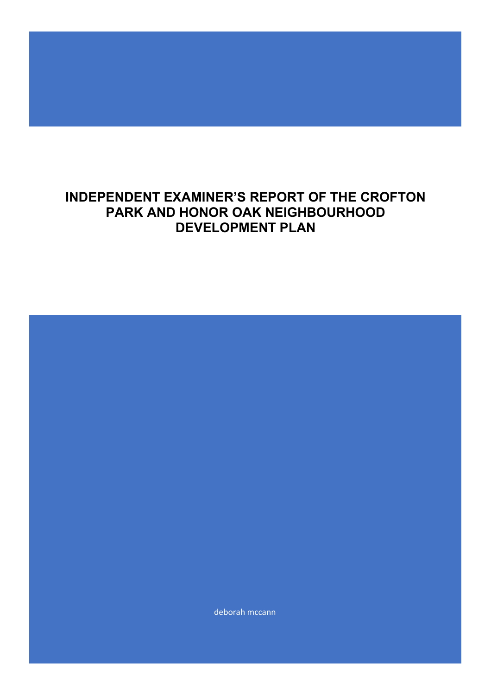# **INDEPENDENT EXAMINER'S REPORT OF THE CROFTON PARK AND HONOR OAK NEIGHBOURHOOD DEVELOPMENT PLAN**

deborah mccann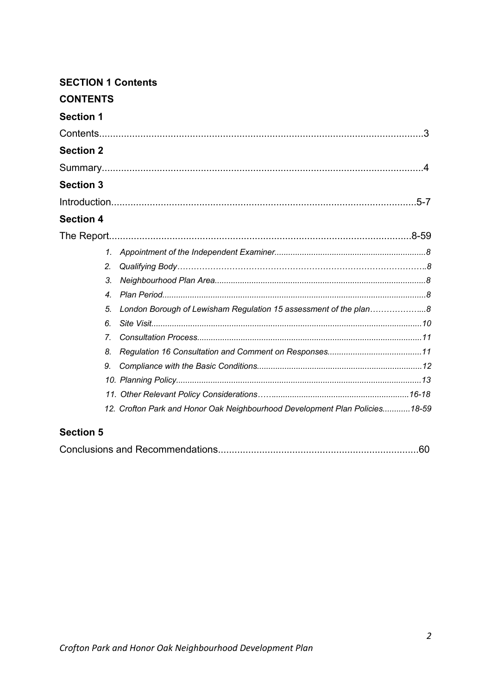| <b>SECTION 1 Contents</b>                                                   |  |
|-----------------------------------------------------------------------------|--|
| <b>CONTENTS</b>                                                             |  |
| <b>Section 1</b>                                                            |  |
|                                                                             |  |
| <b>Section 2</b>                                                            |  |
|                                                                             |  |
| <b>Section 3</b>                                                            |  |
|                                                                             |  |
| <b>Section 4</b>                                                            |  |
|                                                                             |  |
| 1.                                                                          |  |
| 2.                                                                          |  |
|                                                                             |  |
| 3.                                                                          |  |
| $4_{\cdot}$                                                                 |  |
| London Borough of Lewisham Regulation 15 assessment of the plan8<br>5.      |  |
| 6.                                                                          |  |
| 7.                                                                          |  |
| 8.                                                                          |  |
| 9.                                                                          |  |
|                                                                             |  |
|                                                                             |  |
| 12. Crofton Park and Honor Oak Neighbourhood Development Plan Policies18-59 |  |
|                                                                             |  |
| <b>Section 5</b>                                                            |  |

|--|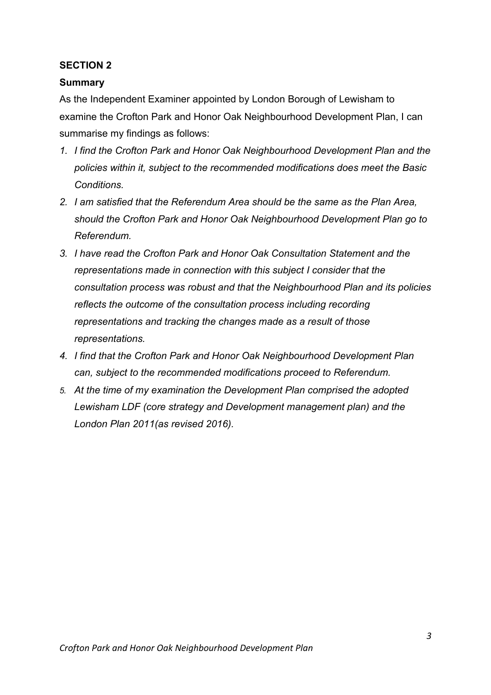## **SECTION 2**

### **Summary**

As the Independent Examiner appointed by London Borough of Lewisham to examine the Crofton Park and Honor Oak Neighbourhood Development Plan, I can summarise my findings as follows:

- *1. I find the Crofton Park and Honor Oak Neighbourhood Development Plan and the policies within it, subject to the recommended modifications does meet the Basic Conditions.*
- *2. I am satisfied that the Referendum Area should be the same as the Plan Area, should the Crofton Park and Honor Oak Neighbourhood Development Plan go to Referendum.*
- *3. I have read the Crofton Park and Honor Oak Consultation Statement and the representations made in connection with this subject I consider that the consultation process was robust and that the Neighbourhood Plan and its policies reflects the outcome of the consultation process including recording representations and tracking the changes made as a result of those representations.*
- *4. I find that the Crofton Park and Honor Oak Neighbourhood Development Plan can, subject to the recommended modifications proceed to Referendum.*
- *5. At the time of my examination the Development Plan comprised the adopted Lewisham LDF (core strategy and Development management plan) and the London Plan 2011(as revised 2016).*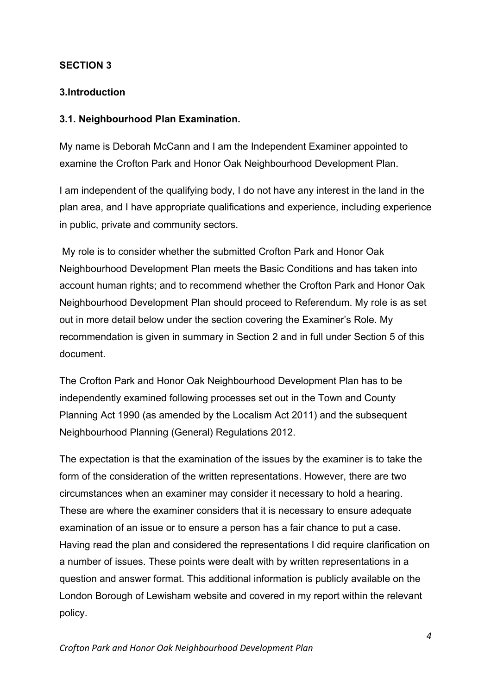## **SECTION 3**

### **3.Introduction**

### **3.1. Neighbourhood Plan Examination.**

My name is Deborah McCann and I am the Independent Examiner appointed to examine the Crofton Park and Honor Oak Neighbourhood Development Plan.

I am independent of the qualifying body, I do not have any interest in the land in the plan area, and I have appropriate qualifications and experience, including experience in public, private and community sectors.

My role is to consider whether the submitted Crofton Park and Honor Oak Neighbourhood Development Plan meets the Basic Conditions and has taken into account human rights; and to recommend whether the Crofton Park and Honor Oak Neighbourhood Development Plan should proceed to Referendum. My role is as set out in more detail below under the section covering the Examiner's Role. My recommendation is given in summary in Section 2 and in full under Section 5 of this document.

The Crofton Park and Honor Oak Neighbourhood Development Plan has to be independently examined following processes set out in the Town and County Planning Act 1990 (as amended by the Localism Act 2011) and the subsequent Neighbourhood Planning (General) Regulations 2012.

The expectation is that the examination of the issues by the examiner is to take the form of the consideration of the written representations. However, there are two circumstances when an examiner may consider it necessary to hold a hearing. These are where the examiner considers that it is necessary to ensure adequate examination of an issue or to ensure a person has a fair chance to put a case. Having read the plan and considered the representations I did require clarification on a number of issues. These points were dealt with by written representations in a question and answer format. This additional information is publicly available on the London Borough of Lewisham website and covered in my report within the relevant policy.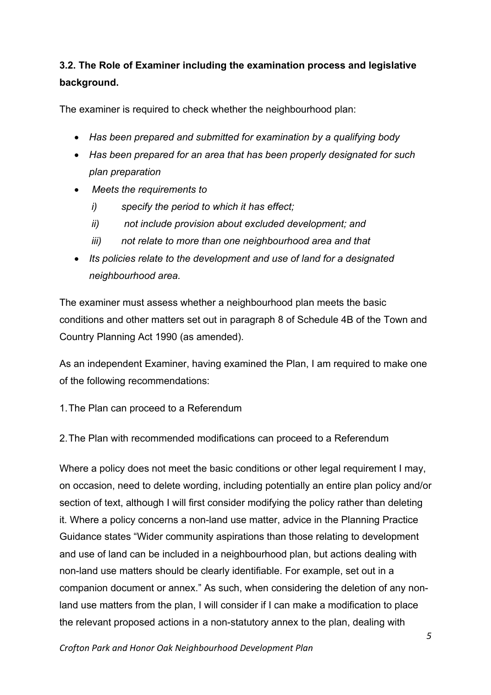# **3.2. The Role of Examiner including the examination process and legislative background.**

The examiner is required to check whether the neighbourhood plan:

- *Has been prepared and submitted for examination by a qualifying body*
- *Has been prepared for an area that has been properly designated for such plan preparation*
- *Meets the requirements to*
	- *i) specify the period to which it has effect;*
	- *ii) not include provision about excluded development; and*
	- *iii) not relate to more than one neighbourhood area and that*
- *Its policies relate to the development and use of land for a designated neighbourhood area.*

The examiner must assess whether a neighbourhood plan meets the basic conditions and other matters set out in paragraph 8 of Schedule 4B of the Town and Country Planning Act 1990 (as amended).

As an independent Examiner, having examined the Plan, I am required to make one of the following recommendations:

1.The Plan can proceed to a Referendum

2.The Plan with recommended modifications can proceed to a Referendum

Where a policy does not meet the basic conditions or other legal requirement I may, on occasion, need to delete wording, including potentially an entire plan policy and/or section of text, although I will first consider modifying the policy rather than deleting it. Where a policy concerns a non-land use matter, advice in the Planning Practice Guidance states "Wider community aspirations than those relating to development and use of land can be included in a neighbourhood plan, but actions dealing with non-land use matters should be clearly identifiable. For example, set out in a companion document or annex." As such, when considering the deletion of any nonland use matters from the plan, I will consider if I can make a modification to place the relevant proposed actions in a non-statutory annex to the plan, dealing with

*Crofton Park and Honor Oak Neighbourhood Development Plan*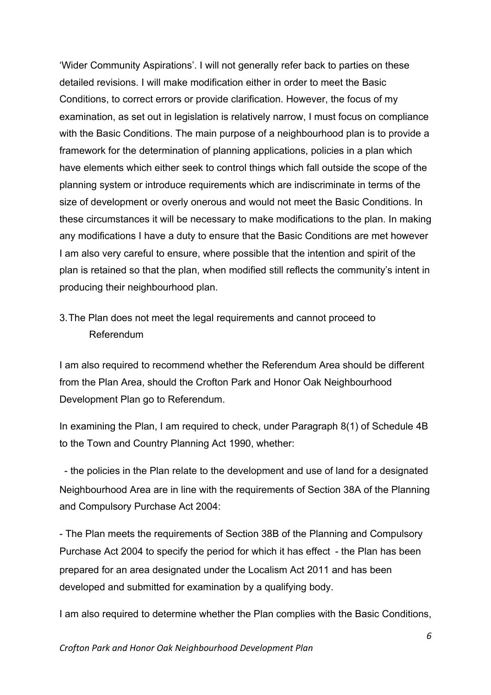'Wider Community Aspirations'. I will not generally refer back to parties on these detailed revisions. I will make modification either in order to meet the Basic Conditions, to correct errors or provide clarification. However, the focus of my examination, as set out in legislation is relatively narrow, I must focus on compliance with the Basic Conditions. The main purpose of a neighbourhood plan is to provide a framework for the determination of planning applications, policies in a plan which have elements which either seek to control things which fall outside the scope of the planning system or introduce requirements which are indiscriminate in terms of the size of development or overly onerous and would not meet the Basic Conditions. In these circumstances it will be necessary to make modifications to the plan. In making any modifications I have a duty to ensure that the Basic Conditions are met however I am also very careful to ensure, where possible that the intention and spirit of the plan is retained so that the plan, when modified still reflects the community's intent in producing their neighbourhood plan.

# 3.The Plan does not meet the legal requirements and cannot proceed to Referendum

I am also required to recommend whether the Referendum Area should be different from the Plan Area, should the Crofton Park and Honor Oak Neighbourhood Development Plan go to Referendum.

In examining the Plan, I am required to check, under Paragraph 8(1) of Schedule 4B to the Town and Country Planning Act 1990, whether:

- the policies in the Plan relate to the development and use of land for a designated Neighbourhood Area are in line with the requirements of Section 38A of the Planning and Compulsory Purchase Act 2004:

- The Plan meets the requirements of Section 38B of the Planning and Compulsory Purchase Act 2004 to specify the period for which it has effect - the Plan has been prepared for an area designated under the Localism Act 2011 and has been developed and submitted for examination by a qualifying body.

I am also required to determine whether the Plan complies with the Basic Conditions,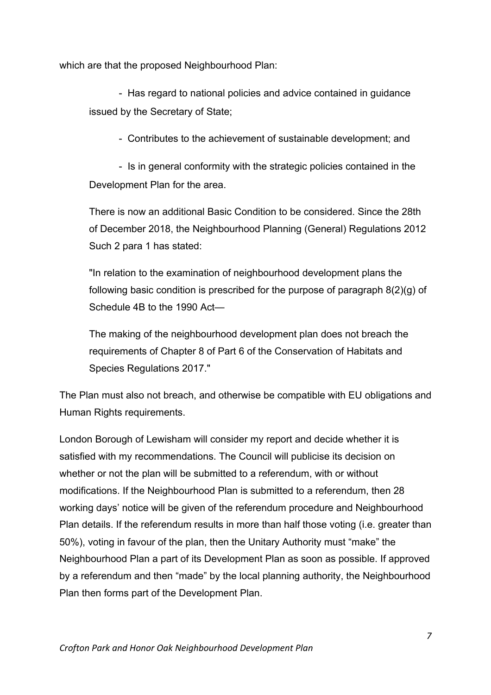which are that the proposed Neighbourhood Plan:

- Has regard to national policies and advice contained in guidance issued by the Secretary of State;

- Contributes to the achievement of sustainable development; and

- Is in general conformity with the strategic policies contained in the Development Plan for the area.

There is now an additional Basic Condition to be considered. Since the 28th of December 2018, the Neighbourhood Planning (General) Regulations 2012 Such 2 para 1 has stated:

"In relation to the examination of neighbourhood development plans the following basic condition is prescribed for the purpose of paragraph 8(2)(g) of Schedule 4B to the 1990 Act—

The making of the neighbourhood development plan does not breach the requirements of Chapter 8 of Part 6 of the Conservation of Habitats and Species Regulations 2017."

The Plan must also not breach, and otherwise be compatible with EU obligations and Human Rights requirements.

London Borough of Lewisham will consider my report and decide whether it is satisfied with my recommendations. The Council will publicise its decision on whether or not the plan will be submitted to a referendum, with or without modifications. If the Neighbourhood Plan is submitted to a referendum, then 28 working days' notice will be given of the referendum procedure and Neighbourhood Plan details. If the referendum results in more than half those voting (i.e. greater than 50%), voting in favour of the plan, then the Unitary Authority must "make" the Neighbourhood Plan a part of its Development Plan as soon as possible. If approved by a referendum and then "made" by the local planning authority, the Neighbourhood Plan then forms part of the Development Plan.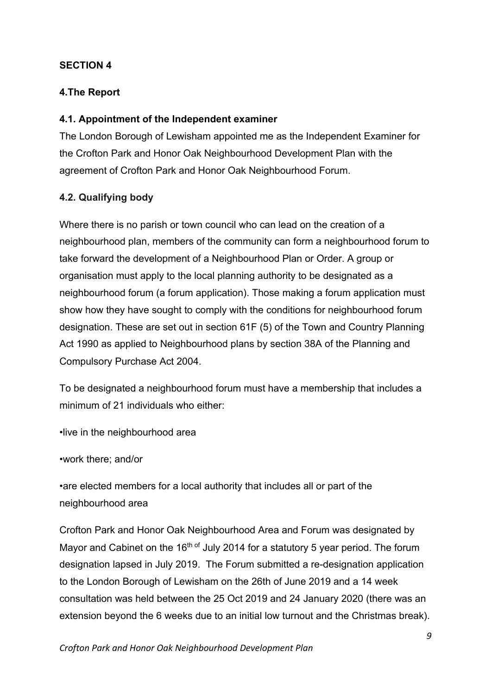## **SECTION 4**

## **4.The Report**

## **4.1. Appointment of the Independent examiner**

The London Borough of Lewisham appointed me as the Independent Examiner for the Crofton Park and Honor Oak Neighbourhood Development Plan with the agreement of Crofton Park and Honor Oak Neighbourhood Forum.

## **4.2. Qualifying body**

Where there is no parish or town council who can lead on the creation of a neighbourhood plan, members of the community can form a neighbourhood forum to take forward the development of a Neighbourhood Plan or Order. A group or organisation must apply to the local planning authority to be designated as a neighbourhood forum (a forum application). Those making a forum application must show how they have sought to comply with the conditions for neighbourhood forum designation. These are set out in section 61F (5) of the Town and Country Planning Act 1990 as applied to Neighbourhood plans by section 38A of the Planning and Compulsory Purchase Act 2004.

To be designated a neighbourhood forum must have a membership that includes a minimum of 21 individuals who either:

•live in the neighbourhood area

•work there; and/or

•are elected members for a local authority that includes all or part of the neighbourhood area

Crofton Park and Honor Oak Neighbourhood Area and Forum was designated by Mayor and Cabinet on the 16<sup>th of</sup> July 2014 for a statutory 5 year period. The forum designation lapsed in July 2019. The Forum submitted a re-designation application to the London Borough of Lewisham on the 26th of June 2019 and a 14 week consultation was held between the 25 Oct 2019 and 24 January 2020 (there was an extension beyond the 6 weeks due to an initial low turnout and the Christmas break).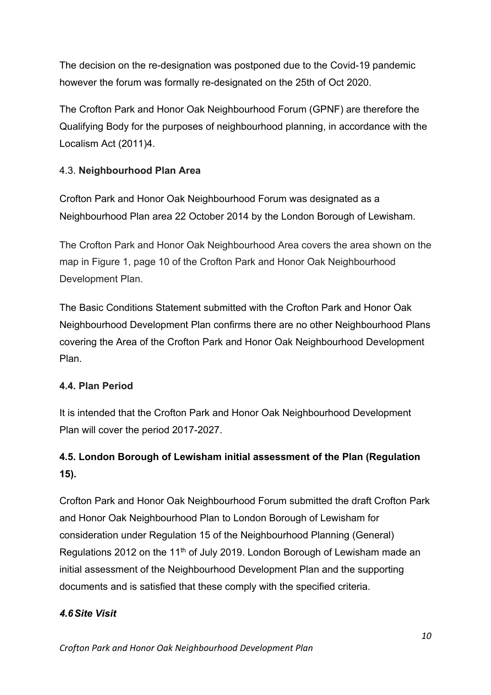The decision on the re-designation was postponed due to the Covid-19 pandemic however the forum was formally re-designated on the 25th of Oct 2020.

The Crofton Park and Honor Oak Neighbourhood Forum (GPNF) are therefore the Qualifying Body for the purposes of neighbourhood planning, in accordance with the Localism Act (2011)4.

# 4.3. **Neighbourhood Plan Area**

Crofton Park and Honor Oak Neighbourhood Forum was designated as a Neighbourhood Plan area 22 October 2014 by the London Borough of Lewisham.

The Crofton Park and Honor Oak Neighbourhood Area covers the area shown on the map in Figure 1, page 10 of the Crofton Park and Honor Oak Neighbourhood Development Plan.

The Basic Conditions Statement submitted with the Crofton Park and Honor Oak Neighbourhood Development Plan confirms there are no other Neighbourhood Plans covering the Area of the Crofton Park and Honor Oak Neighbourhood Development Plan.

# **4.4. Plan Period**

It is intended that the Crofton Park and Honor Oak Neighbourhood Development Plan will cover the period 2017-2027.

# **4.5. London Borough of Lewisham initial assessment of the Plan (Regulation 15).**

Crofton Park and Honor Oak Neighbourhood Forum submitted the draft Crofton Park and Honor Oak Neighbourhood Plan to London Borough of Lewisham for consideration under Regulation 15 of the Neighbourhood Planning (General) Regulations 2012 on the 11<sup>th</sup> of July 2019. London Borough of Lewisham made an initial assessment of the Neighbourhood Development Plan and the supporting documents and is satisfied that these comply with the specified criteria.

# *4.6Site Visit*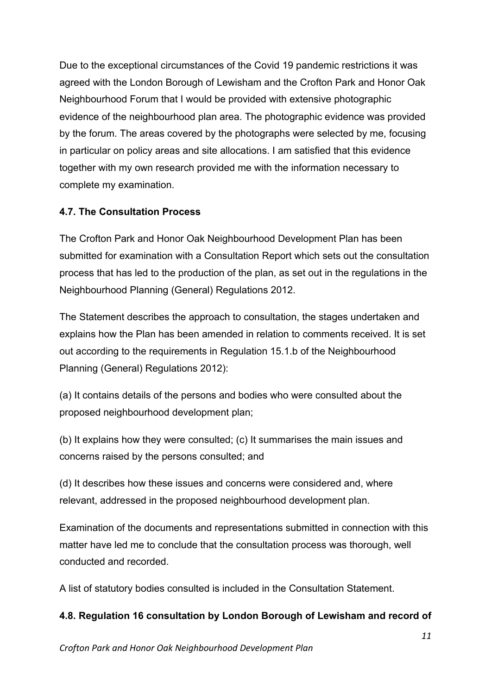Due to the exceptional circumstances of the Covid 19 pandemic restrictions it was agreed with the London Borough of Lewisham and the Crofton Park and Honor Oak Neighbourhood Forum that I would be provided with extensive photographic evidence of the neighbourhood plan area. The photographic evidence was provided by the forum. The areas covered by the photographs were selected by me, focusing in particular on policy areas and site allocations. I am satisfied that this evidence together with my own research provided me with the information necessary to complete my examination.

## **4.7. The Consultation Process**

The Crofton Park and Honor Oak Neighbourhood Development Plan has been submitted for examination with a Consultation Report which sets out the consultation process that has led to the production of the plan, as set out in the regulations in the Neighbourhood Planning (General) Regulations 2012.

The Statement describes the approach to consultation, the stages undertaken and explains how the Plan has been amended in relation to comments received. It is set out according to the requirements in Regulation 15.1.b of the Neighbourhood Planning (General) Regulations 2012):

(a) It contains details of the persons and bodies who were consulted about the proposed neighbourhood development plan;

(b) It explains how they were consulted; (c) It summarises the main issues and concerns raised by the persons consulted; and

(d) It describes how these issues and concerns were considered and, where relevant, addressed in the proposed neighbourhood development plan.

Examination of the documents and representations submitted in connection with this matter have led me to conclude that the consultation process was thorough, well conducted and recorded.

A list of statutory bodies consulted is included in the Consultation Statement.

## **4.8. Regulation 16 consultation by London Borough of Lewisham and record of**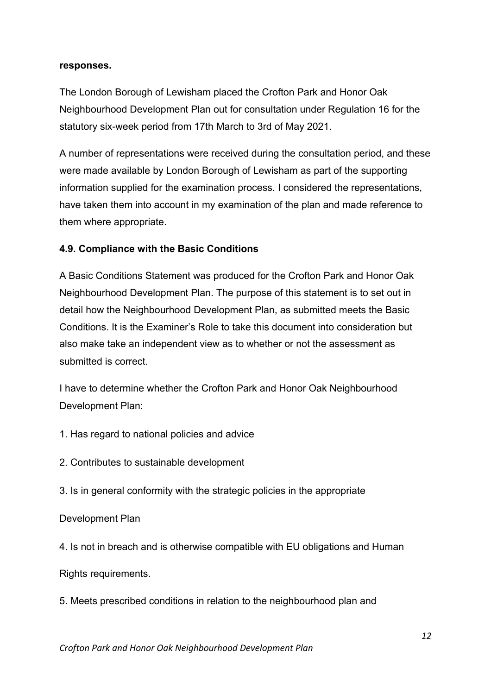#### **responses.**

The London Borough of Lewisham placed the Crofton Park and Honor Oak Neighbourhood Development Plan out for consultation under Regulation 16 for the statutory six-week period from 17th March to 3rd of May 2021.

A number of representations were received during the consultation period, and these were made available by London Borough of Lewisham as part of the supporting information supplied for the examination process. I considered the representations, have taken them into account in my examination of the plan and made reference to them where appropriate.

#### **4.9. Compliance with the Basic Conditions**

A Basic Conditions Statement was produced for the Crofton Park and Honor Oak Neighbourhood Development Plan. The purpose of this statement is to set out in detail how the Neighbourhood Development Plan, as submitted meets the Basic Conditions. It is the Examiner's Role to take this document into consideration but also make take an independent view as to whether or not the assessment as submitted is correct.

I have to determine whether the Crofton Park and Honor Oak Neighbourhood Development Plan:

- 1. Has regard to national policies and advice
- 2. Contributes to sustainable development
- 3. Is in general conformity with the strategic policies in the appropriate

#### Development Plan

4. Is not in breach and is otherwise compatible with EU obligations and Human

Rights requirements.

5. Meets prescribed conditions in relation to the neighbourhood plan and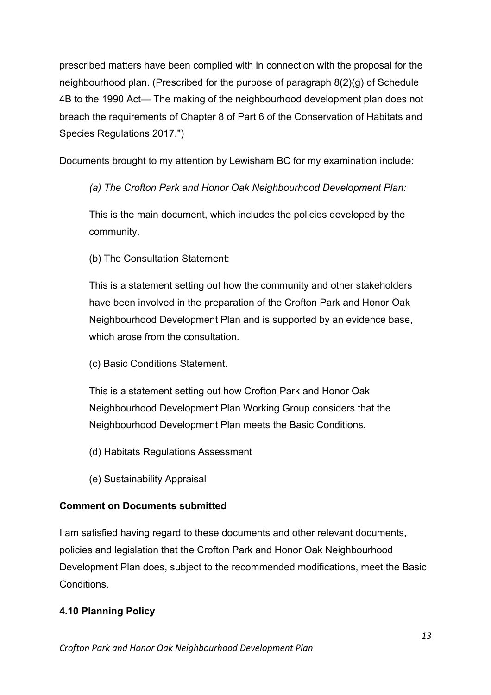prescribed matters have been complied with in connection with the proposal for the neighbourhood plan. (Prescribed for the purpose of paragraph 8(2)(g) of Schedule 4B to the 1990 Act— The making of the neighbourhood development plan does not breach the requirements of Chapter 8 of Part 6 of the Conservation of Habitats and Species Regulations 2017.")

Documents brought to my attention by Lewisham BC for my examination include:

*(a) The Crofton Park and Honor Oak Neighbourhood Development Plan:* 

This is the main document, which includes the policies developed by the community.

(b) The Consultation Statement:

This is a statement setting out how the community and other stakeholders have been involved in the preparation of the Crofton Park and Honor Oak Neighbourhood Development Plan and is supported by an evidence base, which arose from the consultation.

(c) Basic Conditions Statement.

This is a statement setting out how Crofton Park and Honor Oak Neighbourhood Development Plan Working Group considers that the Neighbourhood Development Plan meets the Basic Conditions.

- (d) Habitats Regulations Assessment
- (e) Sustainability Appraisal

# **Comment on Documents submitted**

I am satisfied having regard to these documents and other relevant documents, policies and legislation that the Crofton Park and Honor Oak Neighbourhood Development Plan does, subject to the recommended modifications, meet the Basic Conditions.

## **4.10 Planning Policy**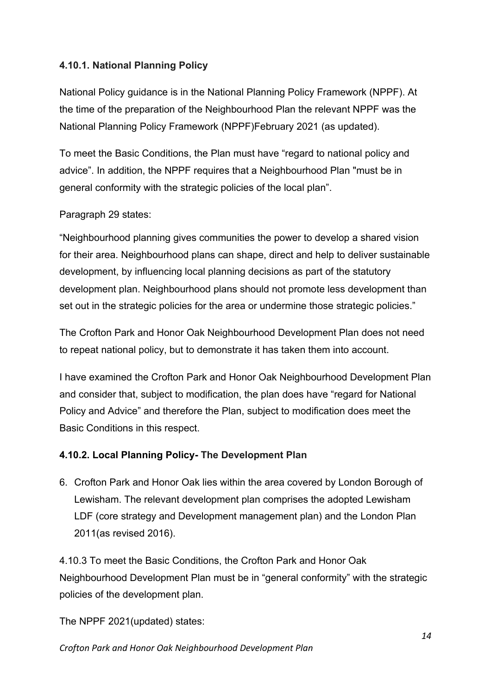## **4.10.1. National Planning Policy**

National Policy guidance is in the National Planning Policy Framework (NPPF). At the time of the preparation of the Neighbourhood Plan the relevant NPPF was the National Planning Policy Framework (NPPF)February 2021 (as updated).

To meet the Basic Conditions, the Plan must have "regard to national policy and advice". In addition, the NPPF requires that a Neighbourhood Plan "must be in general conformity with the strategic policies of the local plan".

## Paragraph 29 states:

"Neighbourhood planning gives communities the power to develop a shared vision for their area. Neighbourhood plans can shape, direct and help to deliver sustainable development, by influencing local planning decisions as part of the statutory development plan. Neighbourhood plans should not promote less development than set out in the strategic policies for the area or undermine those strategic policies."

The Crofton Park and Honor Oak Neighbourhood Development Plan does not need to repeat national policy, but to demonstrate it has taken them into account.

I have examined the Crofton Park and Honor Oak Neighbourhood Development Plan and consider that, subject to modification, the plan does have "regard for National Policy and Advice" and therefore the Plan, subject to modification does meet the Basic Conditions in this respect.

## **4.10.2. Local Planning Policy- The Development Plan**

6. Crofton Park and Honor Oak lies within the area covered by London Borough of Lewisham. The relevant development plan comprises the adopted Lewisham LDF (core strategy and Development management plan) and the London Plan 2011(as revised 2016).

4.10.3 To meet the Basic Conditions, the Crofton Park and Honor Oak Neighbourhood Development Plan must be in "general conformity" with the strategic policies of the development plan.

The NPPF 2021(updated) states: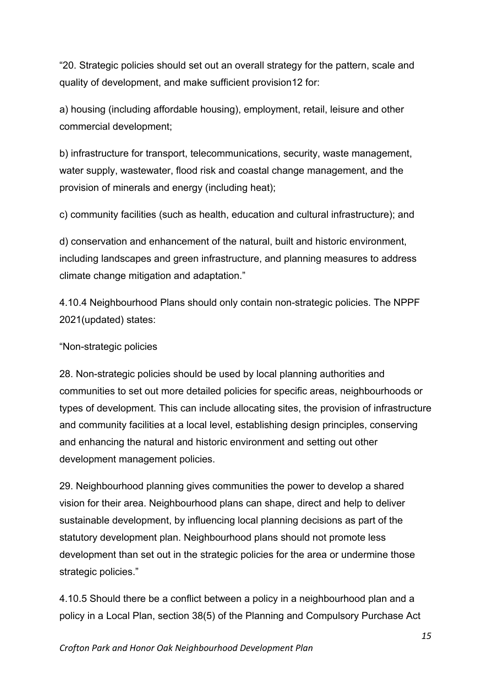"20. Strategic policies should set out an overall strategy for the pattern, scale and quality of development, and make sufficient provision12 for:

a) housing (including affordable housing), employment, retail, leisure and other commercial development;

b) infrastructure for transport, telecommunications, security, waste management, water supply, wastewater, flood risk and coastal change management, and the provision of minerals and energy (including heat);

c) community facilities (such as health, education and cultural infrastructure); and

d) conservation and enhancement of the natural, built and historic environment, including landscapes and green infrastructure, and planning measures to address climate change mitigation and adaptation."

4.10.4 Neighbourhood Plans should only contain non-strategic policies. The NPPF 2021(updated) states:

"Non-strategic policies

28. Non-strategic policies should be used by local planning authorities and communities to set out more detailed policies for specific areas, neighbourhoods or types of development. This can include allocating sites, the provision of infrastructure and community facilities at a local level, establishing design principles, conserving and enhancing the natural and historic environment and setting out other development management policies.

29. Neighbourhood planning gives communities the power to develop a shared vision for their area. Neighbourhood plans can shape, direct and help to deliver sustainable development, by influencing local planning decisions as part of the statutory development plan. Neighbourhood plans should not promote less development than set out in the strategic policies for the area or undermine those strategic policies."

4.10.5 Should there be a conflict between a policy in a neighbourhood plan and a policy in a Local Plan, section 38(5) of the Planning and Compulsory Purchase Act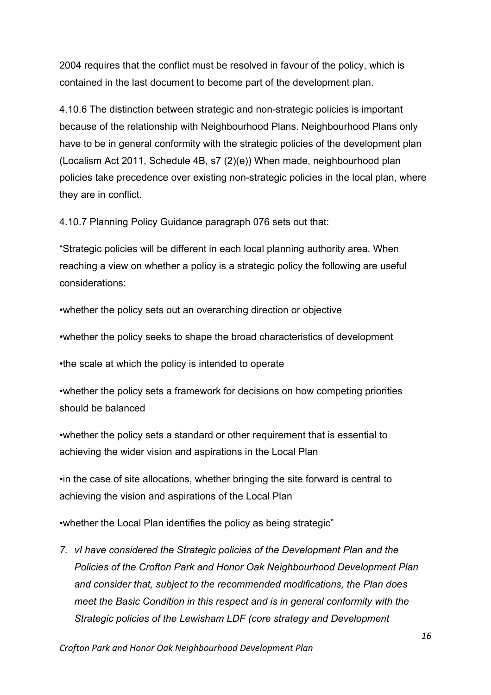2004 requires that the conflict must be resolved in favour of the policy, which is contained in the last document to become part of the development plan.

4.10.6 The distinction between strategic and non-strategic policies is important because of the relationship with Neighbourhood Plans. Neighbourhood Plans only have to be in general conformity with the strategic policies of the development plan (Localism Act 2011, Schedule 4B, s7 (2)(e)) When made, neighbourhood plan policies take precedence over existing non-strategic policies in the local plan, where they are in conflict.

4.10.7 Planning Policy Guidance paragraph 076 sets out that:

"Strategic policies will be different in each local planning authority area. When reaching a view on whether a policy is a strategic policy the following are useful considerations:

•whether the policy sets out an overarching direction or objective

•whether the policy seeks to shape the broad characteristics of development

•the scale at which the policy is intended to operate

•whether the policy sets a framework for decisions on how competing priorities should be balanced

•whether the policy sets a standard or other requirement that is essential to achieving the wider vision and aspirations in the Local Plan

•in the case of site allocations, whether bringing the site forward is central to achieving the vision and aspirations of the Local Plan

•whether the Local Plan identifies the policy as being strategic"

*7. vI have considered the Strategic policies of the Development Plan and the Policies of the Crofton Park and Honor Oak Neighbourhood Development Plan and consider that, subject to the recommended modifications, the Plan does meet the Basic Condition in this respect and is in general conformity with the Strategic policies of the Lewisham LDF (core strategy and Development*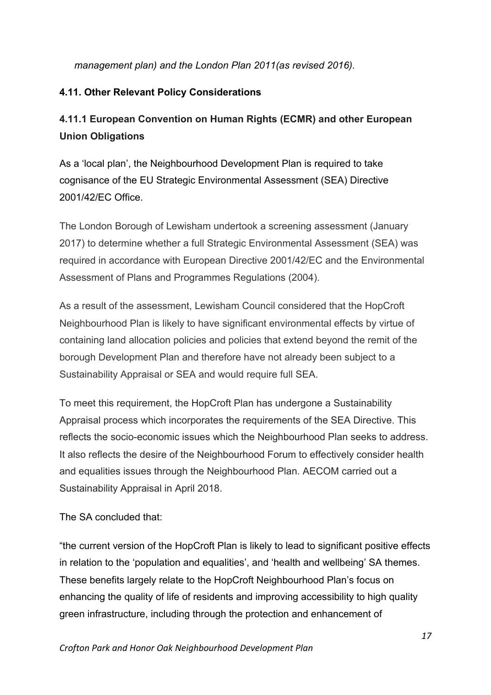*management plan) and the London Plan 2011(as revised 2016).*

# **4.11. Other Relevant Policy Considerations**

# **4.11.1 European Convention on Human Rights (ECMR) and other European Union Obligations**

As a 'local plan', the Neighbourhood Development Plan is required to take cognisance of the EU Strategic Environmental Assessment (SEA) Directive 2001/42/EC Office.

The London Borough of Lewisham undertook a screening assessment (January 2017) to determine whether a full Strategic Environmental Assessment (SEA) was required in accordance with European Directive 2001/42/EC and the Environmental Assessment of Plans and Programmes Regulations (2004).

As a result of the assessment, Lewisham Council considered that the HopCroft Neighbourhood Plan is likely to have significant environmental effects by virtue of containing land allocation policies and policies that extend beyond the remit of the borough Development Plan and therefore have not already been subject to a Sustainability Appraisal or SEA and would require full SEA.

To meet this requirement, the HopCroft Plan has undergone a Sustainability Appraisal process which incorporates the requirements of the SEA Directive. This reflects the socio-economic issues which the Neighbourhood Plan seeks to address. It also reflects the desire of the Neighbourhood Forum to effectively consider health and equalities issues through the Neighbourhood Plan. AECOM carried out a Sustainability Appraisal in April 2018.

The SA concluded that:

"the current version of the HopCroft Plan is likely to lead to significant positive effects in relation to the 'population and equalities', and 'health and wellbeing' SA themes. These benefits largely relate to the HopCroft Neighbourhood Plan's focus on enhancing the quality of life of residents and improving accessibility to high quality green infrastructure, including through the protection and enhancement of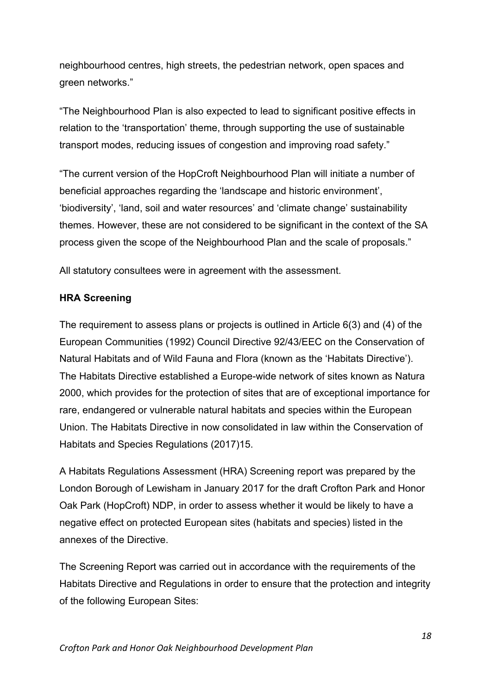neighbourhood centres, high streets, the pedestrian network, open spaces and green networks."

"The Neighbourhood Plan is also expected to lead to significant positive effects in relation to the 'transportation' theme, through supporting the use of sustainable transport modes, reducing issues of congestion and improving road safety."

"The current version of the HopCroft Neighbourhood Plan will initiate a number of beneficial approaches regarding the 'landscape and historic environment', 'biodiversity', 'land, soil and water resources' and 'climate change' sustainability themes. However, these are not considered to be significant in the context of the SA process given the scope of the Neighbourhood Plan and the scale of proposals."

All statutory consultees were in agreement with the assessment.

### **HRA Screening**

The requirement to assess plans or projects is outlined in Article 6(3) and (4) of the European Communities (1992) Council Directive 92/43/EEC on the Conservation of Natural Habitats and of Wild Fauna and Flora (known as the 'Habitats Directive'). The Habitats Directive established a Europe-wide network of sites known as Natura 2000, which provides for the protection of sites that are of exceptional importance for rare, endangered or vulnerable natural habitats and species within the European Union. The Habitats Directive in now consolidated in law within the Conservation of Habitats and Species Regulations (2017)15.

A Habitats Regulations Assessment (HRA) Screening report was prepared by the London Borough of Lewisham in January 2017 for the draft Crofton Park and Honor Oak Park (HopCroft) NDP, in order to assess whether it would be likely to have a negative effect on protected European sites (habitats and species) listed in the annexes of the Directive.

The Screening Report was carried out in accordance with the requirements of the Habitats Directive and Regulations in order to ensure that the protection and integrity of the following European Sites: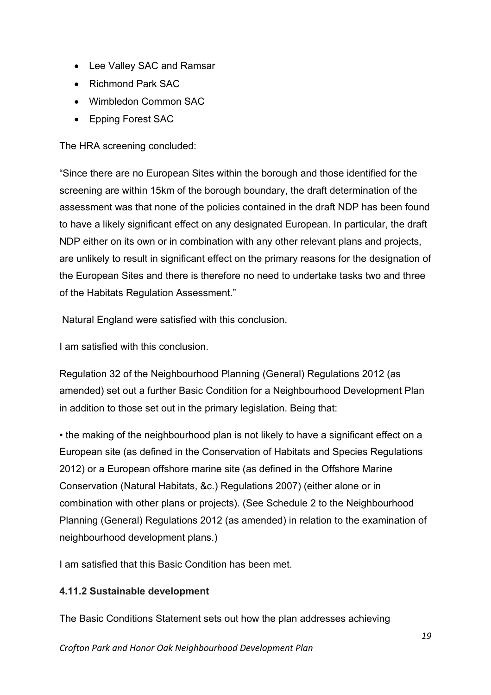- Lee Valley SAC and Ramsar
- Richmond Park SAC
- Wimbledon Common SAC
- Epping Forest SAC

The HRA screening concluded:

"Since there are no European Sites within the borough and those identified for the screening are within 15km of the borough boundary, the draft determination of the assessment was that none of the policies contained in the draft NDP has been found to have a likely significant effect on any designated European. In particular, the draft NDP either on its own or in combination with any other relevant plans and projects, are unlikely to result in significant effect on the primary reasons for the designation of the European Sites and there is therefore no need to undertake tasks two and three of the Habitats Regulation Assessment."

Natural England were satisfied with this conclusion.

I am satisfied with this conclusion.

Regulation 32 of the Neighbourhood Planning (General) Regulations 2012 (as amended) set out a further Basic Condition for a Neighbourhood Development Plan in addition to those set out in the primary legislation. Being that:

• the making of the neighbourhood plan is not likely to have a significant effect on a European site (as defined in the Conservation of Habitats and Species Regulations 2012) or a European offshore marine site (as defined in the Offshore Marine Conservation (Natural Habitats, &c.) Regulations 2007) (either alone or in combination with other plans or projects). (See Schedule 2 to the Neighbourhood Planning (General) Regulations 2012 (as amended) in relation to the examination of neighbourhood development plans.)

I am satisfied that this Basic Condition has been met.

# **4.11.2 Sustainable development**

The Basic Conditions Statement sets out how the plan addresses achieving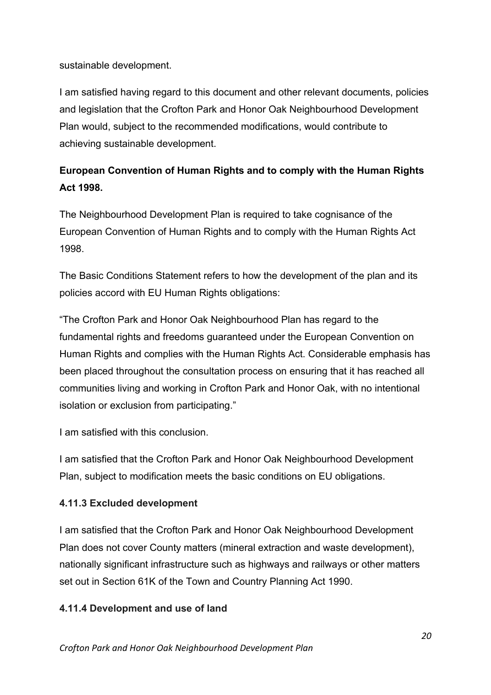sustainable development.

I am satisfied having regard to this document and other relevant documents, policies and legislation that the Crofton Park and Honor Oak Neighbourhood Development Plan would, subject to the recommended modifications, would contribute to achieving sustainable development.

# **European Convention of Human Rights and to comply with the Human Rights Act 1998.**

The Neighbourhood Development Plan is required to take cognisance of the European Convention of Human Rights and to comply with the Human Rights Act 1998.

The Basic Conditions Statement refers to how the development of the plan and its policies accord with EU Human Rights obligations:

"The Crofton Park and Honor Oak Neighbourhood Plan has regard to the fundamental rights and freedoms guaranteed under the European Convention on Human Rights and complies with the Human Rights Act. Considerable emphasis has been placed throughout the consultation process on ensuring that it has reached all communities living and working in Crofton Park and Honor Oak, with no intentional isolation or exclusion from participating."

I am satisfied with this conclusion.

I am satisfied that the Crofton Park and Honor Oak Neighbourhood Development Plan, subject to modification meets the basic conditions on EU obligations.

# **4.11.3 Excluded development**

I am satisfied that the Crofton Park and Honor Oak Neighbourhood Development Plan does not cover County matters (mineral extraction and waste development), nationally significant infrastructure such as highways and railways or other matters set out in Section 61K of the Town and Country Planning Act 1990.

## **4.11.4 Development and use of land**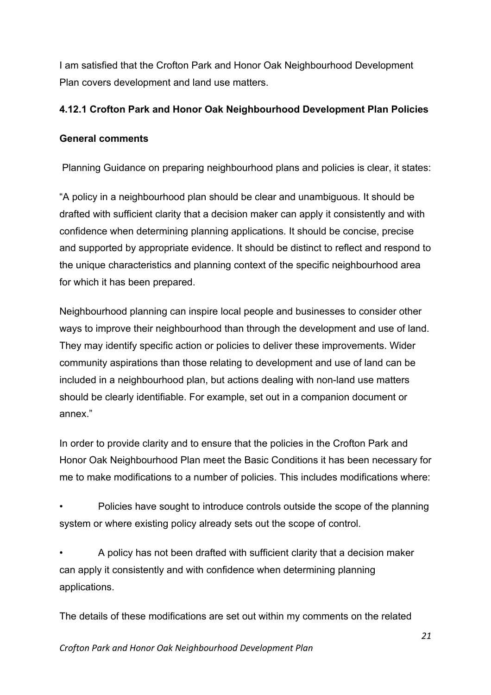I am satisfied that the Crofton Park and Honor Oak Neighbourhood Development Plan covers development and land use matters.

## **4.12.1 Crofton Park and Honor Oak Neighbourhood Development Plan Policies**

## **General comments**

Planning Guidance on preparing neighbourhood plans and policies is clear, it states:

"A policy in a neighbourhood plan should be clear and unambiguous. It should be drafted with sufficient clarity that a decision maker can apply it consistently and with confidence when determining planning applications. It should be concise, precise and supported by appropriate evidence. It should be distinct to reflect and respond to the unique characteristics and planning context of the specific neighbourhood area for which it has been prepared.

Neighbourhood planning can inspire local people and businesses to consider other ways to improve their neighbourhood than through the development and use of land. They may identify specific action or policies to deliver these improvements. Wider community aspirations than those relating to development and use of land can be included in a neighbourhood plan, but actions dealing with non-land use matters should be clearly identifiable. For example, set out in a companion document or annex."

In order to provide clarity and to ensure that the policies in the Crofton Park and Honor Oak Neighbourhood Plan meet the Basic Conditions it has been necessary for me to make modifications to a number of policies. This includes modifications where:

• Policies have sought to introduce controls outside the scope of the planning system or where existing policy already sets out the scope of control.

• A policy has not been drafted with sufficient clarity that a decision maker can apply it consistently and with confidence when determining planning applications.

The details of these modifications are set out within my comments on the related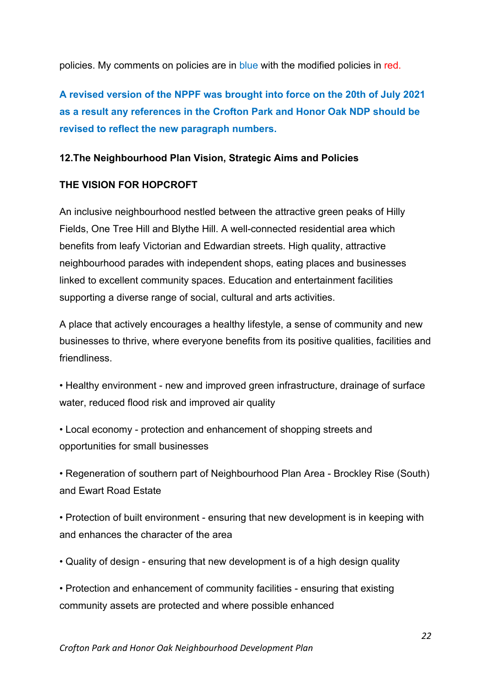policies. My comments on policies are in blue with the modified policies in red.

**A revised version of the NPPF was brought into force on the 20th of July 2021 as a result any references in the Crofton Park and Honor Oak NDP should be revised to reflect the new paragraph numbers.**

## **12.The Neighbourhood Plan Vision, Strategic Aims and Policies**

## **THE VISION FOR HOPCROFT**

An inclusive neighbourhood nestled between the attractive green peaks of Hilly Fields, One Tree Hill and Blythe Hill. A well-connected residential area which benefits from leafy Victorian and Edwardian streets. High quality, attractive neighbourhood parades with independent shops, eating places and businesses linked to excellent community spaces. Education and entertainment facilities supporting a diverse range of social, cultural and arts activities.

A place that actively encourages a healthy lifestyle, a sense of community and new businesses to thrive, where everyone benefits from its positive qualities, facilities and friendliness.

• Healthy environment - new and improved green infrastructure, drainage of surface water, reduced flood risk and improved air quality

• Local economy - protection and enhancement of shopping streets and opportunities for small businesses

• Regeneration of southern part of Neighbourhood Plan Area - Brockley Rise (South) and Ewart Road Estate

• Protection of built environment - ensuring that new development is in keeping with and enhances the character of the area

• Quality of design - ensuring that new development is of a high design quality

• Protection and enhancement of community facilities - ensuring that existing community assets are protected and where possible enhanced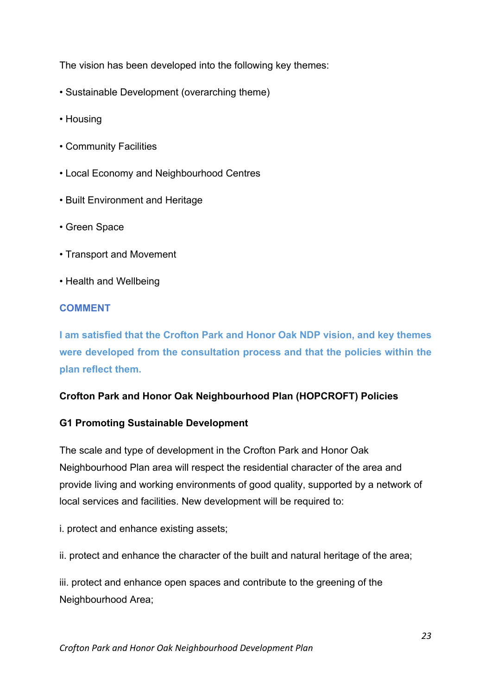The vision has been developed into the following key themes:

- Sustainable Development (overarching theme)
- Housing
- Community Facilities
- Local Economy and Neighbourhood Centres
- Built Environment and Heritage
- Green Space
- Transport and Movement
- Health and Wellbeing

#### **COMMENT**

**I am satisfied that the Crofton Park and Honor Oak NDP vision, and key themes were developed from the consultation process and that the policies within the plan reflect them.**

#### **Crofton Park and Honor Oak Neighbourhood Plan (HOPCROFT) Policies**

#### **G1 Promoting Sustainable Development**

The scale and type of development in the Crofton Park and Honor Oak Neighbourhood Plan area will respect the residential character of the area and provide living and working environments of good quality, supported by a network of local services and facilities. New development will be required to:

i. protect and enhance existing assets;

ii. protect and enhance the character of the built and natural heritage of the area;

iii. protect and enhance open spaces and contribute to the greening of the Neighbourhood Area;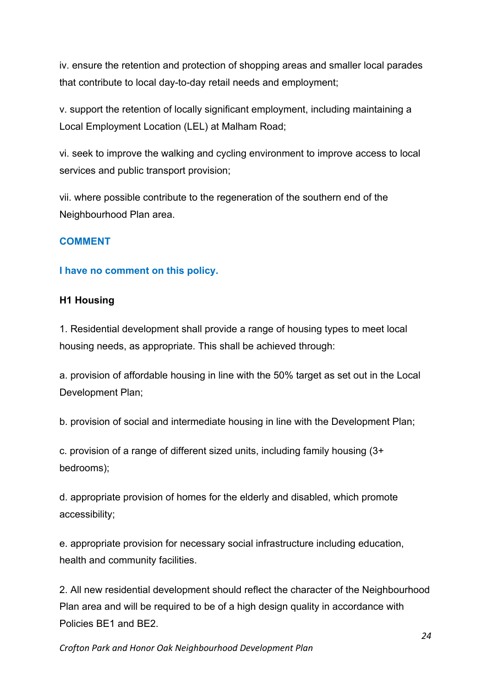iv. ensure the retention and protection of shopping areas and smaller local parades that contribute to local day-to-day retail needs and employment;

v. support the retention of locally significant employment, including maintaining a Local Employment Location (LEL) at Malham Road;

vi. seek to improve the walking and cycling environment to improve access to local services and public transport provision;

vii. where possible contribute to the regeneration of the southern end of the Neighbourhood Plan area.

## **COMMENT**

## **I have no comment on this policy.**

#### **H1 Housing**

1. Residential development shall provide a range of housing types to meet local housing needs, as appropriate. This shall be achieved through:

a. provision of affordable housing in line with the 50% target as set out in the Local Development Plan;

b. provision of social and intermediate housing in line with the Development Plan;

c. provision of a range of different sized units, including family housing (3+ bedrooms);

d. appropriate provision of homes for the elderly and disabled, which promote accessibility;

e. appropriate provision for necessary social infrastructure including education, health and community facilities.

2. All new residential development should reflect the character of the Neighbourhood Plan area and will be required to be of a high design quality in accordance with Policies BE1 and BE2.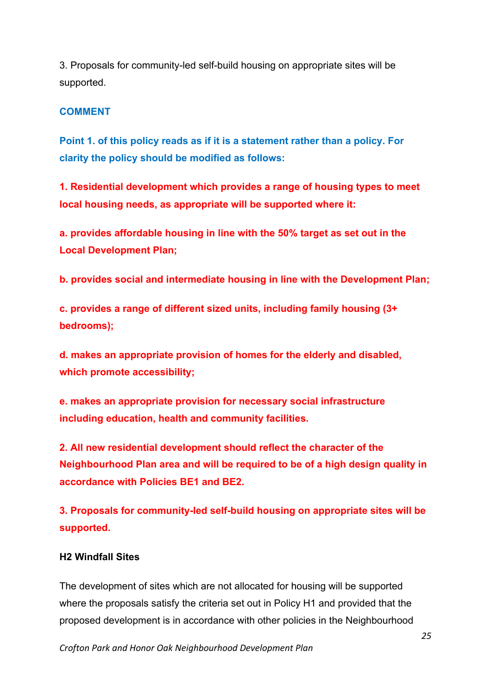3. Proposals for community-led self-build housing on appropriate sites will be supported.

#### **COMMENT**

**Point 1. of this policy reads as if it is a statement rather than a policy. For clarity the policy should be modified as follows:**

**1. Residential development which provides a range of housing types to meet local housing needs, as appropriate will be supported where it:**

**a. provides affordable housing in line with the 50% target as set out in the Local Development Plan;** 

**b. provides social and intermediate housing in line with the Development Plan;**

**c. provides a range of different sized units, including family housing (3+ bedrooms);**

**d. makes an appropriate provision of homes for the elderly and disabled, which promote accessibility;**

**e. makes an appropriate provision for necessary social infrastructure including education, health and community facilities.**

**2. All new residential development should reflect the character of the Neighbourhood Plan area and will be required to be of a high design quality in accordance with Policies BE1 and BE2.**

**3. Proposals for community-led self-build housing on appropriate sites will be supported.**

#### **H2 Windfall Sites**

The development of sites which are not allocated for housing will be supported where the proposals satisfy the criteria set out in Policy H1 and provided that the proposed development is in accordance with other policies in the Neighbourhood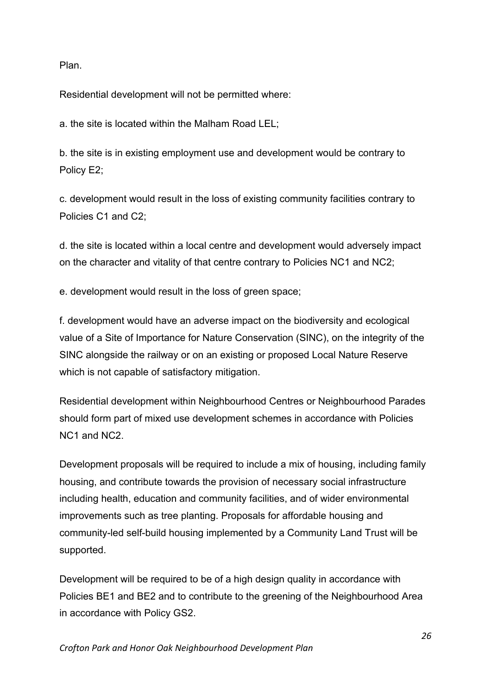Plan.

Residential development will not be permitted where:

a. the site is located within the Malham Road LEL;

b. the site is in existing employment use and development would be contrary to Policy E2;

c. development would result in the loss of existing community facilities contrary to Policies C1 and C2;

d. the site is located within a local centre and development would adversely impact on the character and vitality of that centre contrary to Policies NC1 and NC2;

e. development would result in the loss of green space;

f. development would have an adverse impact on the biodiversity and ecological value of a Site of Importance for Nature Conservation (SINC), on the integrity of the SINC alongside the railway or on an existing or proposed Local Nature Reserve which is not capable of satisfactory mitigation.

Residential development within Neighbourhood Centres or Neighbourhood Parades should form part of mixed use development schemes in accordance with Policies NC1 and NC2.

Development proposals will be required to include a mix of housing, including family housing, and contribute towards the provision of necessary social infrastructure including health, education and community facilities, and of wider environmental improvements such as tree planting. Proposals for affordable housing and community-led self-build housing implemented by a Community Land Trust will be supported.

Development will be required to be of a high design quality in accordance with Policies BE1 and BE2 and to contribute to the greening of the Neighbourhood Area in accordance with Policy GS2.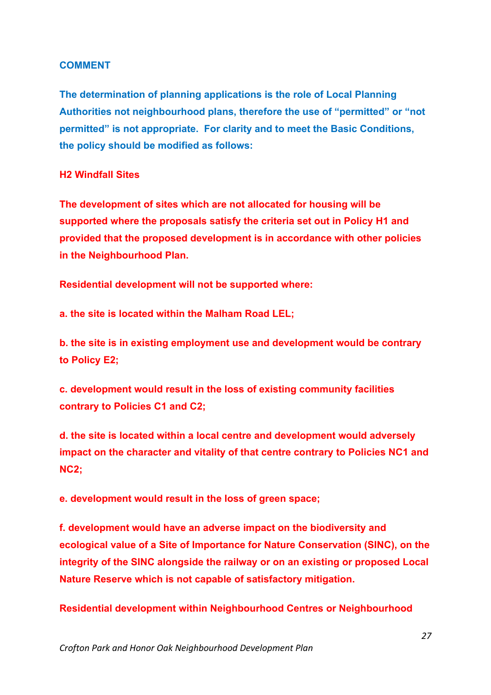#### **COMMENT**

**The determination of planning applications is the role of Local Planning Authorities not neighbourhood plans, therefore the use of "permitted" or "not permitted" is not appropriate. For clarity and to meet the Basic Conditions, the policy should be modified as follows:**

#### **H2 Windfall Sites**

**The development of sites which are not allocated for housing will be supported where the proposals satisfy the criteria set out in Policy H1 and provided that the proposed development is in accordance with other policies in the Neighbourhood Plan.**

**Residential development will not be supported where:**

**a. the site is located within the Malham Road LEL;**

**b. the site is in existing employment use and development would be contrary to Policy E2;**

**c. development would result in the loss of existing community facilities contrary to Policies C1 and C2;**

**d. the site is located within a local centre and development would adversely impact on the character and vitality of that centre contrary to Policies NC1 and NC2;**

**e. development would result in the loss of green space;**

**f. development would have an adverse impact on the biodiversity and ecological value of a Site of Importance for Nature Conservation (SINC), on the integrity of the SINC alongside the railway or on an existing or proposed Local Nature Reserve which is not capable of satisfactory mitigation.**

**Residential development within Neighbourhood Centres or Neighbourhood**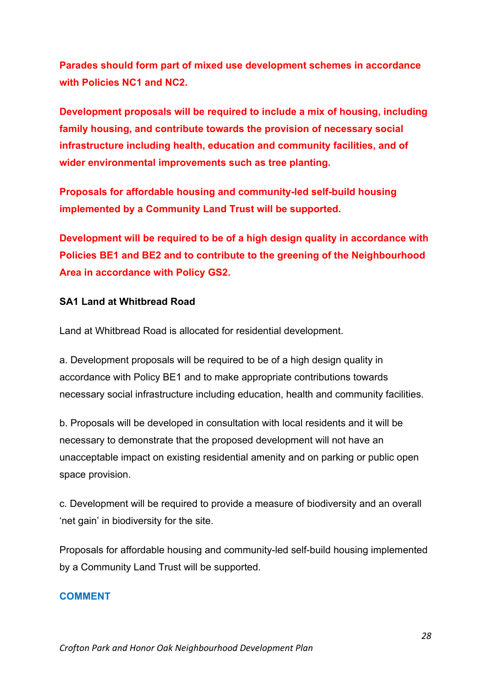**Parades should form part of mixed use development schemes in accordance with Policies NC1 and NC2.**

**Development proposals will be required to include a mix of housing, including family housing, and contribute towards the provision of necessary social infrastructure including health, education and community facilities, and of wider environmental improvements such as tree planting.** 

**Proposals for affordable housing and community-led self-build housing implemented by a Community Land Trust will be supported.**

**Development will be required to be of a high design quality in accordance with Policies BE1 and BE2 and to contribute to the greening of the Neighbourhood Area in accordance with Policy GS2.**

### **SA1 Land at Whitbread Road**

Land at Whitbread Road is allocated for residential development.

a. Development proposals will be required to be of a high design quality in accordance with Policy BE1 and to make appropriate contributions towards necessary social infrastructure including education, health and community facilities.

b. Proposals will be developed in consultation with local residents and it will be necessary to demonstrate that the proposed development will not have an unacceptable impact on existing residential amenity and on parking or public open space provision.

c. Development will be required to provide a measure of biodiversity and an overall 'net gain' in biodiversity for the site.

Proposals for affordable housing and community-led self-build housing implemented by a Community Land Trust will be supported.

#### **COMMENT**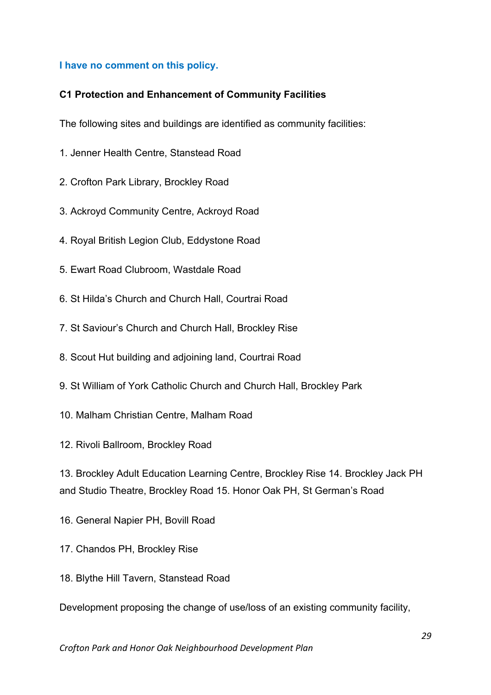### **I have no comment on this policy.**

## **C1 Protection and Enhancement of Community Facilities**

The following sites and buildings are identified as community facilities:

- 1. Jenner Health Centre, Stanstead Road
- 2. Crofton Park Library, Brockley Road
- 3. Ackroyd Community Centre, Ackroyd Road
- 4. Royal British Legion Club, Eddystone Road
- 5. Ewart Road Clubroom, Wastdale Road
- 6. St Hilda's Church and Church Hall, Courtrai Road
- 7. St Saviour's Church and Church Hall, Brockley Rise
- 8. Scout Hut building and adjoining land, Courtrai Road
- 9. St William of York Catholic Church and Church Hall, Brockley Park
- 10. Malham Christian Centre, Malham Road
- 12. Rivoli Ballroom, Brockley Road

13. Brockley Adult Education Learning Centre, Brockley Rise 14. Brockley Jack PH and Studio Theatre, Brockley Road 15. Honor Oak PH, St German's Road

- 16. General Napier PH, Bovill Road
- 17. Chandos PH, Brockley Rise
- 18. Blythe Hill Tavern, Stanstead Road

Development proposing the change of use/loss of an existing community facility,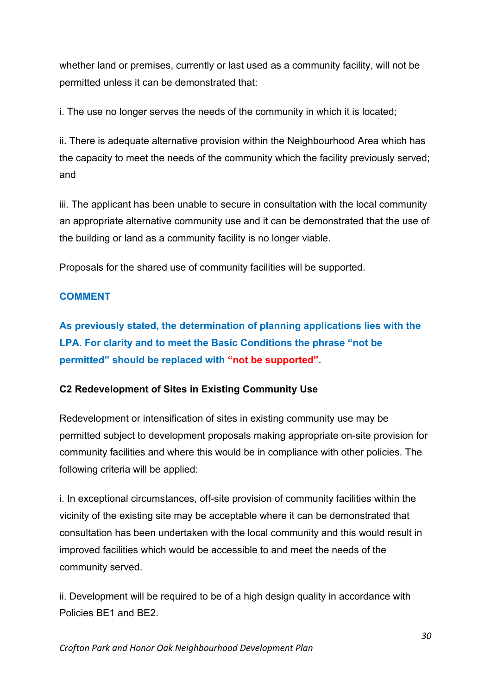whether land or premises, currently or last used as a community facility, will not be permitted unless it can be demonstrated that:

i. The use no longer serves the needs of the community in which it is located;

ii. There is adequate alternative provision within the Neighbourhood Area which has the capacity to meet the needs of the community which the facility previously served; and

iii. The applicant has been unable to secure in consultation with the local community an appropriate alternative community use and it can be demonstrated that the use of the building or land as a community facility is no longer viable.

Proposals for the shared use of community facilities will be supported.

## **COMMENT**

**As previously stated, the determination of planning applications lies with the LPA. For clarity and to meet the Basic Conditions the phrase "not be permitted" should be replaced with "not be supported".**

## **C2 Redevelopment of Sites in Existing Community Use**

Redevelopment or intensification of sites in existing community use may be permitted subject to development proposals making appropriate on-site provision for community facilities and where this would be in compliance with other policies. The following criteria will be applied:

i. In exceptional circumstances, off-site provision of community facilities within the vicinity of the existing site may be acceptable where it can be demonstrated that consultation has been undertaken with the local community and this would result in improved facilities which would be accessible to and meet the needs of the community served.

ii. Development will be required to be of a high design quality in accordance with Policies BE1 and BE2.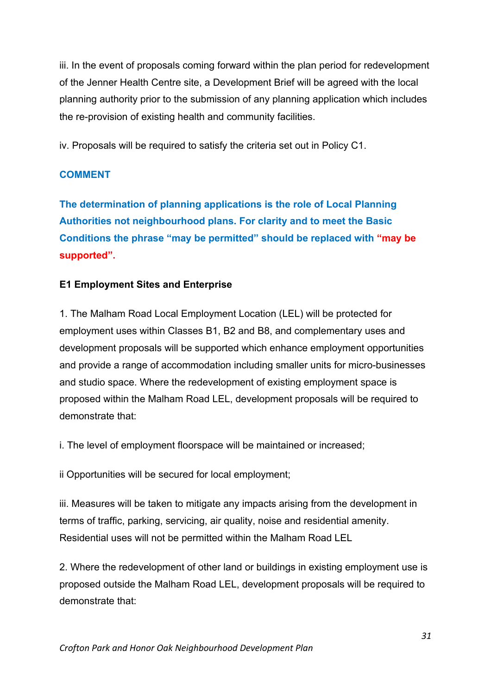iii. In the event of proposals coming forward within the plan period for redevelopment of the Jenner Health Centre site, a Development Brief will be agreed with the local planning authority prior to the submission of any planning application which includes the re-provision of existing health and community facilities.

iv. Proposals will be required to satisfy the criteria set out in Policy C1.

## **COMMENT**

**The determination of planning applications is the role of Local Planning Authorities not neighbourhood plans. For clarity and to meet the Basic Conditions the phrase "may be permitted" should be replaced with "may be supported".**

## **E1 Employment Sites and Enterprise**

1. The Malham Road Local Employment Location (LEL) will be protected for employment uses within Classes B1, B2 and B8, and complementary uses and development proposals will be supported which enhance employment opportunities and provide a range of accommodation including smaller units for micro-businesses and studio space. Where the redevelopment of existing employment space is proposed within the Malham Road LEL, development proposals will be required to demonstrate that:

i. The level of employment floorspace will be maintained or increased;

ii Opportunities will be secured for local employment;

iii. Measures will be taken to mitigate any impacts arising from the development in terms of traffic, parking, servicing, air quality, noise and residential amenity. Residential uses will not be permitted within the Malham Road LEL

2. Where the redevelopment of other land or buildings in existing employment use is proposed outside the Malham Road LEL, development proposals will be required to demonstrate that: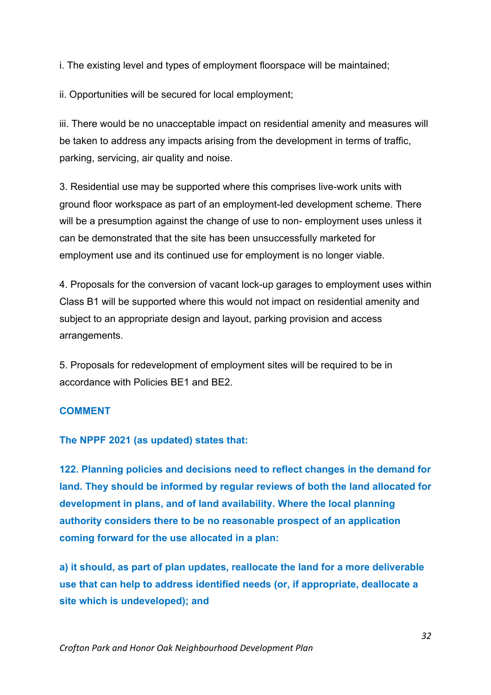i. The existing level and types of employment floorspace will be maintained;

ii. Opportunities will be secured for local employment;

iii. There would be no unacceptable impact on residential amenity and measures will be taken to address any impacts arising from the development in terms of traffic, parking, servicing, air quality and noise.

3. Residential use may be supported where this comprises live-work units with ground floor workspace as part of an employment-led development scheme. There will be a presumption against the change of use to non- employment uses unless it can be demonstrated that the site has been unsuccessfully marketed for employment use and its continued use for employment is no longer viable.

4. Proposals for the conversion of vacant lock-up garages to employment uses within Class B1 will be supported where this would not impact on residential amenity and subject to an appropriate design and layout, parking provision and access arrangements.

5. Proposals for redevelopment of employment sites will be required to be in accordance with Policies BE1 and BE2.

#### **COMMENT**

## **The NPPF 2021 (as updated) states that:**

**122. Planning policies and decisions need to reflect changes in the demand for land. They should be informed by regular reviews of both the land allocated for development in plans, and of land availability. Where the local planning authority considers there to be no reasonable prospect of an application coming forward for the use allocated in a plan:**

**a) it should, as part of plan updates, reallocate the land for a more deliverable use that can help to address identified needs (or, if appropriate, deallocate a site which is undeveloped); and**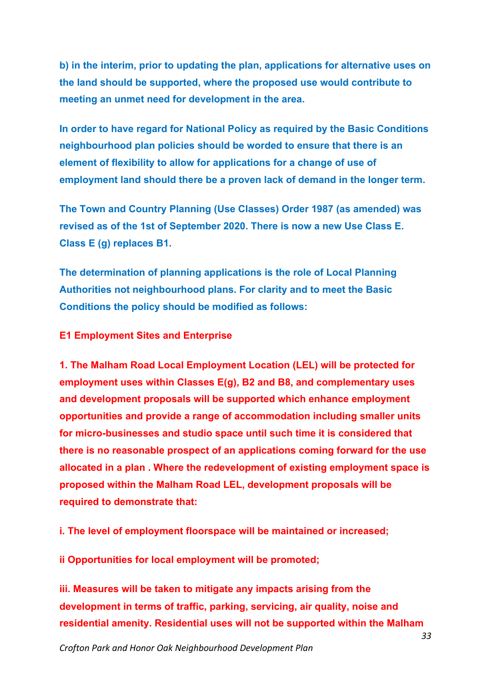**b) in the interim, prior to updating the plan, applications for alternative uses on the land should be supported, where the proposed use would contribute to meeting an unmet need for development in the area.**

**In order to have regard for National Policy as required by the Basic Conditions neighbourhood plan policies should be worded to ensure that there is an element of flexibility to allow for applications for a change of use of employment land should there be a proven lack of demand in the longer term.**

**The Town and Country Planning (Use Classes) Order 1987 (as amended) was revised as of the 1st of September 2020. There is now a new Use Class E. Class E (g) replaces B1.**

**The determination of planning applications is the role of Local Planning Authorities not neighbourhood plans. For clarity and to meet the Basic Conditions the policy should be modified as follows:**

#### **E1 Employment Sites and Enterprise**

**1. The Malham Road Local Employment Location (LEL) will be protected for employment uses within Classes E(g), B2 and B8, and complementary uses and development proposals will be supported which enhance employment opportunities and provide a range of accommodation including smaller units for micro-businesses and studio space until such time it is considered that there is no reasonable prospect of an applications coming forward for the use allocated in a plan . Where the redevelopment of existing employment space is proposed within the Malham Road LEL, development proposals will be required to demonstrate that:**

**i. The level of employment floorspace will be maintained or increased;**

**ii Opportunities for local employment will be promoted;**

**iii. Measures will be taken to mitigate any impacts arising from the development in terms of traffic, parking, servicing, air quality, noise and residential amenity. Residential uses will not be supported within the Malham**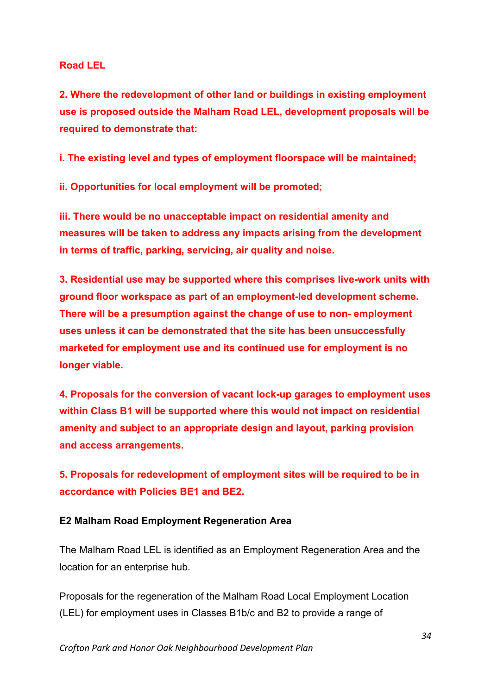#### **Road LEL**

**2. Where the redevelopment of other land or buildings in existing employment use is proposed outside the Malham Road LEL, development proposals will be required to demonstrate that:**

**i. The existing level and types of employment floorspace will be maintained;**

**ii. Opportunities for local employment will be promoted;**

**iii. There would be no unacceptable impact on residential amenity and measures will be taken to address any impacts arising from the development in terms of traffic, parking, servicing, air quality and noise.**

**3. Residential use may be supported where this comprises live-work units with ground floor workspace as part of an employment-led development scheme. There will be a presumption against the change of use to non- employment uses unless it can be demonstrated that the site has been unsuccessfully marketed for employment use and its continued use for employment is no longer viable.**

**4. Proposals for the conversion of vacant lock-up garages to employment uses within Class B1 will be supported where this would not impact on residential amenity and subject to an appropriate design and layout, parking provision and access arrangements.**

**5. Proposals for redevelopment of employment sites will be required to be in accordance with Policies BE1 and BE2.**

#### **E2 Malham Road Employment Regeneration Area**

The Malham Road LEL is identified as an Employment Regeneration Area and the location for an enterprise hub.

Proposals for the regeneration of the Malham Road Local Employment Location (LEL) for employment uses in Classes B1b/c and B2 to provide a range of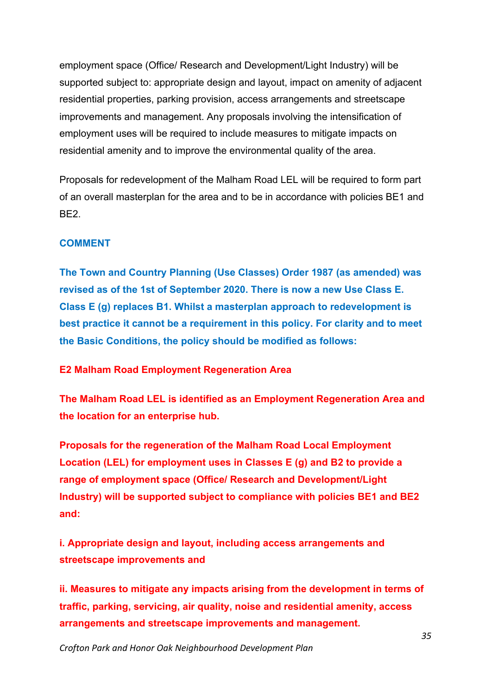employment space (Office/ Research and Development/Light Industry) will be supported subject to: appropriate design and layout, impact on amenity of adjacent residential properties, parking provision, access arrangements and streetscape improvements and management. Any proposals involving the intensification of employment uses will be required to include measures to mitigate impacts on residential amenity and to improve the environmental quality of the area.

Proposals for redevelopment of the Malham Road LEL will be required to form part of an overall masterplan for the area and to be in accordance with policies BE1 and BE2.

### **COMMENT**

**The Town and Country Planning (Use Classes) Order 1987 (as amended) was revised as of the 1st of September 2020. There is now a new Use Class E. Class E (g) replaces B1. Whilst a masterplan approach to redevelopment is best practice it cannot be a requirement in this policy. For clarity and to meet the Basic Conditions, the policy should be modified as follows:**

#### **E2 Malham Road Employment Regeneration Area**

**The Malham Road LEL is identified as an Employment Regeneration Area and the location for an enterprise hub.**

**Proposals for the regeneration of the Malham Road Local Employment Location (LEL) for employment uses in Classes E (g) and B2 to provide a range of employment space (Office/ Research and Development/Light Industry) will be supported subject to compliance with policies BE1 and BE2 and:** 

**i. Appropriate design and layout, including access arrangements and streetscape improvements and** 

**ii. Measures to mitigate any impacts arising from the development in terms of traffic, parking, servicing, air quality, noise and residential amenity, access arrangements and streetscape improvements and management.**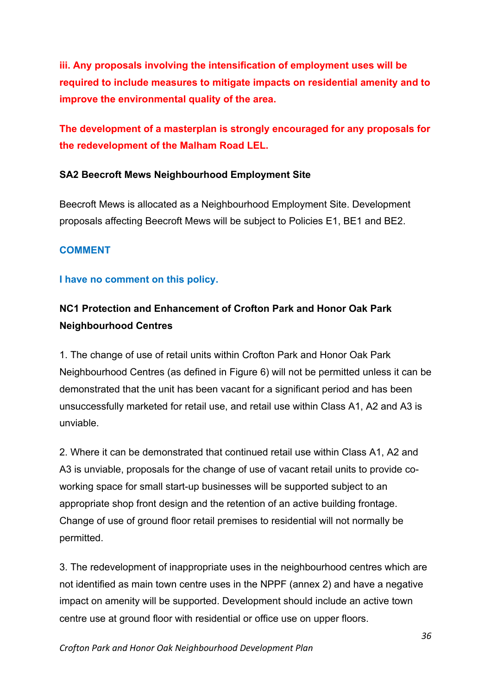**iii. Any proposals involving the intensification of employment uses will be required to include measures to mitigate impacts on residential amenity and to improve the environmental quality of the area.**

**The development of a masterplan is strongly encouraged for any proposals for the redevelopment of the Malham Road LEL.** 

### **SA2 Beecroft Mews Neighbourhood Employment Site**

Beecroft Mews is allocated as a Neighbourhood Employment Site. Development proposals affecting Beecroft Mews will be subject to Policies E1, BE1 and BE2.

### **COMMENT**

#### **I have no comment on this policy.**

# **NC1 Protection and Enhancement of Crofton Park and Honor Oak Park Neighbourhood Centres**

1. The change of use of retail units within Crofton Park and Honor Oak Park Neighbourhood Centres (as defined in Figure 6) will not be permitted unless it can be demonstrated that the unit has been vacant for a significant period and has been unsuccessfully marketed for retail use, and retail use within Class A1, A2 and A3 is unviable.

2. Where it can be demonstrated that continued retail use within Class A1, A2 and A3 is unviable, proposals for the change of use of vacant retail units to provide coworking space for small start-up businesses will be supported subject to an appropriate shop front design and the retention of an active building frontage. Change of use of ground floor retail premises to residential will not normally be permitted.

3. The redevelopment of inappropriate uses in the neighbourhood centres which are not identified as main town centre uses in the NPPF (annex 2) and have a negative impact on amenity will be supported. Development should include an active town centre use at ground floor with residential or office use on upper floors.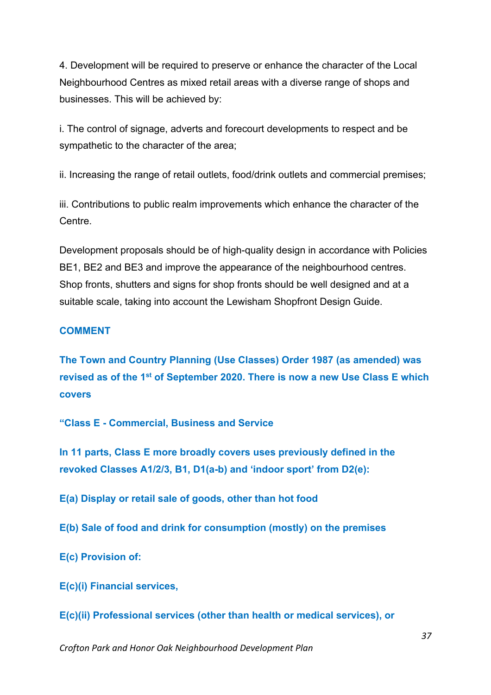4. Development will be required to preserve or enhance the character of the Local Neighbourhood Centres as mixed retail areas with a diverse range of shops and businesses. This will be achieved by:

i. The control of signage, adverts and forecourt developments to respect and be sympathetic to the character of the area;

ii. Increasing the range of retail outlets, food/drink outlets and commercial premises;

iii. Contributions to public realm improvements which enhance the character of the Centre.

Development proposals should be of high-quality design in accordance with Policies BE1, BE2 and BE3 and improve the appearance of the neighbourhood centres. Shop fronts, shutters and signs for shop fronts should be well designed and at a suitable scale, taking into account the Lewisham Shopfront Design Guide.

### **COMMENT**

**The Town and Country Planning (Use Classes) Order 1987 (as amended) was revised as of the 1st of September 2020. There is now a new Use Class E which covers**

**"Class E - Commercial, Business and Service**

**In 11 parts, Class E more broadly covers uses previously defined in the revoked Classes A1/2/3, B1, D1(a-b) and 'indoor sport' from D2(e):**

**E(a) Display or retail sale of goods, other than hot food**

**E(b) Sale of food and drink for consumption (mostly) on the premises**

**E(c) Provision of:**

**E(c)(i) Financial services,**

**E(c)(ii) Professional services (other than health or medical services), or**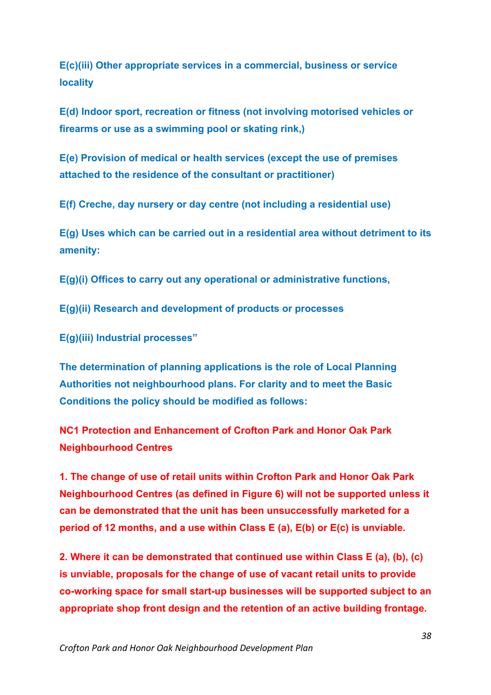**E(c)(iii) Other appropriate services in a commercial, business or service locality**

**E(d) Indoor sport, recreation or fitness (not involving motorised vehicles or firearms or use as a swimming pool or skating rink,)**

**E(e) Provision of medical or health services (except the use of premises attached to the residence of the consultant or practitioner)**

**E(f) Creche, day nursery or day centre (not including a residential use)**

**E(g) Uses which can be carried out in a residential area without detriment to its amenity:**

**E(g)(i) Offices to carry out any operational or administrative functions,**

**E(g)(ii) Research and development of products or processes**

**E(g)(iii) Industrial processes"**

**The determination of planning applications is the role of Local Planning Authorities not neighbourhood plans. For clarity and to meet the Basic Conditions the policy should be modified as follows:**

**NC1 Protection and Enhancement of Crofton Park and Honor Oak Park Neighbourhood Centres**

**1. The change of use of retail units within Crofton Park and Honor Oak Park Neighbourhood Centres (as defined in Figure 6) will not be supported unless it can be demonstrated that the unit has been unsuccessfully marketed for a period of 12 months, and a use within Class E (a), E(b) or E(c) is unviable.**

**2. Where it can be demonstrated that continued use within Class E (a), (b), (c) is unviable, proposals for the change of use of vacant retail units to provide co-working space for small start-up businesses will be supported subject to an appropriate shop front design and the retention of an active building frontage.**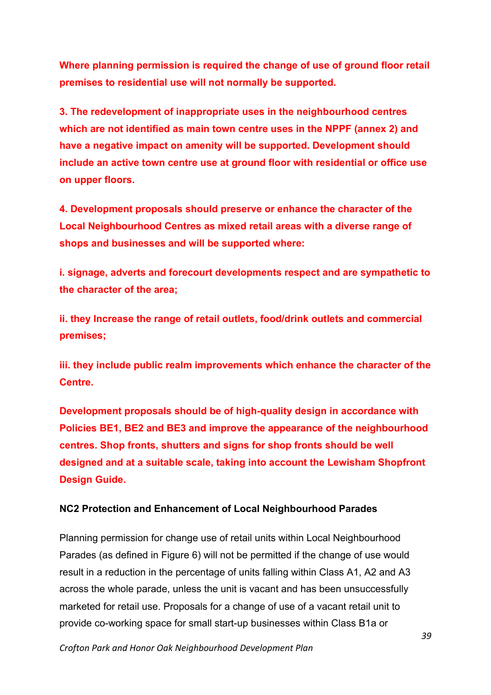**Where planning permission is required the change of use of ground floor retail premises to residential use will not normally be supported.**

**3. The redevelopment of inappropriate uses in the neighbourhood centres which are not identified as main town centre uses in the NPPF (annex 2) and have a negative impact on amenity will be supported. Development should include an active town centre use at ground floor with residential or office use on upper floors.**

**4. Development proposals should preserve or enhance the character of the Local Neighbourhood Centres as mixed retail areas with a diverse range of shops and businesses and will be supported where:**

**i. signage, adverts and forecourt developments respect and are sympathetic to the character of the area;**

**ii. they Increase the range of retail outlets, food/drink outlets and commercial premises;**

**iii. they include public realm improvements which enhance the character of the Centre.**

**Development proposals should be of high-quality design in accordance with Policies BE1, BE2 and BE3 and improve the appearance of the neighbourhood centres. Shop fronts, shutters and signs for shop fronts should be well designed and at a suitable scale, taking into account the Lewisham Shopfront Design Guide.**

#### **NC2 Protection and Enhancement of Local Neighbourhood Parades**

Planning permission for change use of retail units within Local Neighbourhood Parades (as defined in Figure 6) will not be permitted if the change of use would result in a reduction in the percentage of units falling within Class A1, A2 and A3 across the whole parade, unless the unit is vacant and has been unsuccessfully marketed for retail use. Proposals for a change of use of a vacant retail unit to provide co-working space for small start-up businesses within Class B1a or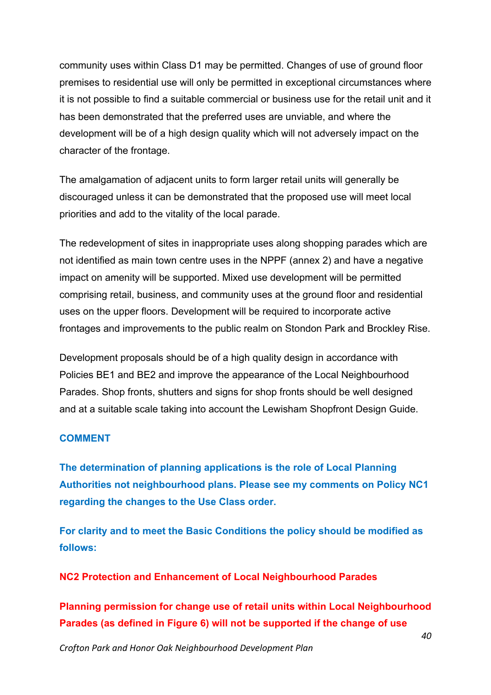community uses within Class D1 may be permitted. Changes of use of ground floor premises to residential use will only be permitted in exceptional circumstances where it is not possible to find a suitable commercial or business use for the retail unit and it has been demonstrated that the preferred uses are unviable, and where the development will be of a high design quality which will not adversely impact on the character of the frontage.

The amalgamation of adjacent units to form larger retail units will generally be discouraged unless it can be demonstrated that the proposed use will meet local priorities and add to the vitality of the local parade.

The redevelopment of sites in inappropriate uses along shopping parades which are not identified as main town centre uses in the NPPF (annex 2) and have a negative impact on amenity will be supported. Mixed use development will be permitted comprising retail, business, and community uses at the ground floor and residential uses on the upper floors. Development will be required to incorporate active frontages and improvements to the public realm on Stondon Park and Brockley Rise.

Development proposals should be of a high quality design in accordance with Policies BE1 and BE2 and improve the appearance of the Local Neighbourhood Parades. Shop fronts, shutters and signs for shop fronts should be well designed and at a suitable scale taking into account the Lewisham Shopfront Design Guide.

#### **COMMENT**

**The determination of planning applications is the role of Local Planning Authorities not neighbourhood plans. Please see my comments on Policy NC1 regarding the changes to the Use Class order.**

**For clarity and to meet the Basic Conditions the policy should be modified as follows:**

**NC2 Protection and Enhancement of Local Neighbourhood Parades**

**Planning permission for change use of retail units within Local Neighbourhood Parades (as defined in Figure 6) will not be supported if the change of use**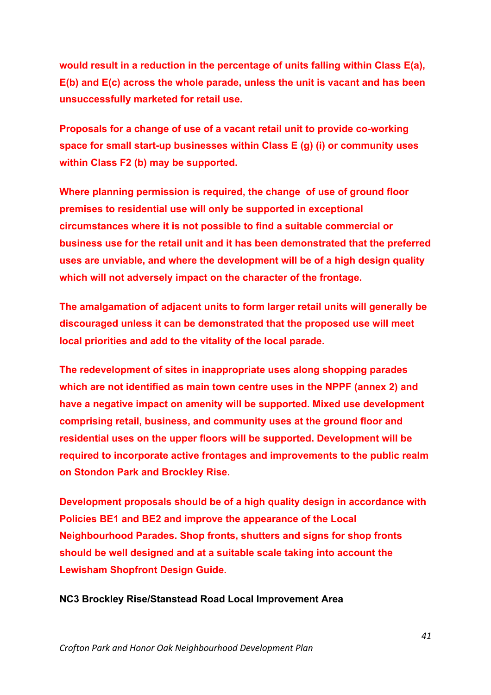**would result in a reduction in the percentage of units falling within Class E(a), E(b) and E(c) across the whole parade, unless the unit is vacant and has been unsuccessfully marketed for retail use.** 

**Proposals for a change of use of a vacant retail unit to provide co-working space for small start-up businesses within Class E (g) (i) or community uses within Class F2 (b) may be supported.** 

**Where planning permission is required, the change of use of ground floor premises to residential use will only be supported in exceptional circumstances where it is not possible to find a suitable commercial or business use for the retail unit and it has been demonstrated that the preferred uses are unviable, and where the development will be of a high design quality which will not adversely impact on the character of the frontage.**

**The amalgamation of adjacent units to form larger retail units will generally be discouraged unless it can be demonstrated that the proposed use will meet local priorities and add to the vitality of the local parade.**

**The redevelopment of sites in inappropriate uses along shopping parades which are not identified as main town centre uses in the NPPF (annex 2) and have a negative impact on amenity will be supported. Mixed use development comprising retail, business, and community uses at the ground floor and residential uses on the upper floors will be supported. Development will be required to incorporate active frontages and improvements to the public realm on Stondon Park and Brockley Rise.**

**Development proposals should be of a high quality design in accordance with Policies BE1 and BE2 and improve the appearance of the Local Neighbourhood Parades. Shop fronts, shutters and signs for shop fronts should be well designed and at a suitable scale taking into account the Lewisham Shopfront Design Guide.**

**NC3 Brockley Rise/Stanstead Road Local Improvement Area**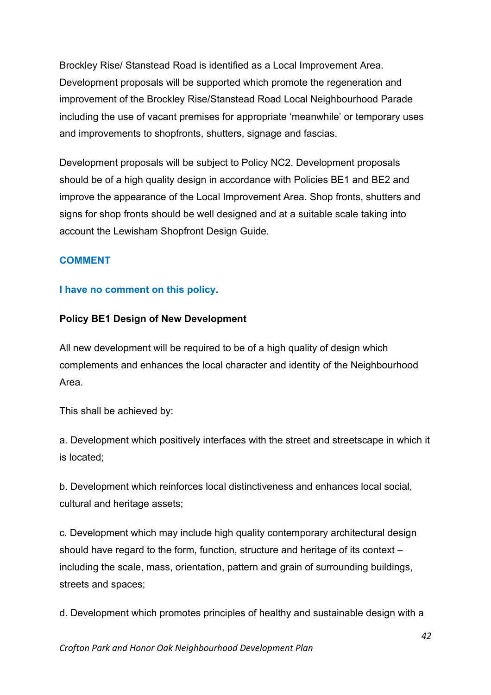Brockley Rise/ Stanstead Road is identified as a Local Improvement Area. Development proposals will be supported which promote the regeneration and improvement of the Brockley Rise/Stanstead Road Local Neighbourhood Parade including the use of vacant premises for appropriate 'meanwhile' or temporary uses and improvements to shopfronts, shutters, signage and fascias.

Development proposals will be subject to Policy NC2. Development proposals should be of a high quality design in accordance with Policies BE1 and BE2 and improve the appearance of the Local Improvement Area. Shop fronts, shutters and signs for shop fronts should be well designed and at a suitable scale taking into account the Lewisham Shopfront Design Guide.

## **COMMENT**

### **I have no comment on this policy.**

### **Policy BE1 Design of New Development**

All new development will be required to be of a high quality of design which complements and enhances the local character and identity of the Neighbourhood Area.

This shall be achieved by:

a. Development which positively interfaces with the street and streetscape in which it is located;

b. Development which reinforces local distinctiveness and enhances local social, cultural and heritage assets;

c. Development which may include high quality contemporary architectural design should have regard to the form, function, structure and heritage of its context – including the scale, mass, orientation, pattern and grain of surrounding buildings, streets and spaces;

d. Development which promotes principles of healthy and sustainable design with a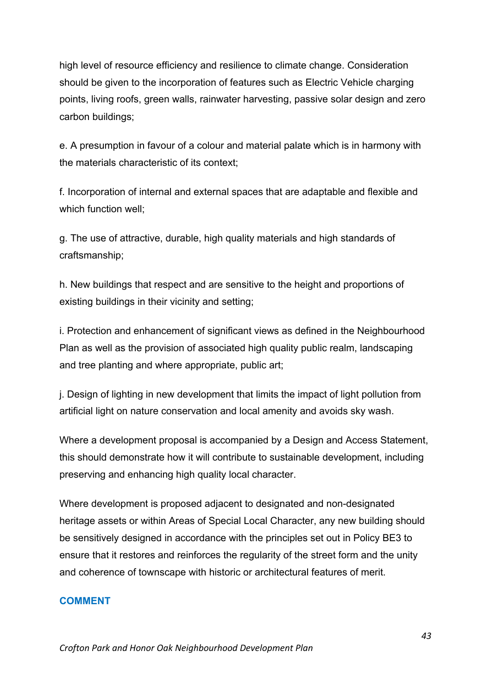high level of resource efficiency and resilience to climate change. Consideration should be given to the incorporation of features such as Electric Vehicle charging points, living roofs, green walls, rainwater harvesting, passive solar design and zero carbon buildings;

e. A presumption in favour of a colour and material palate which is in harmony with the materials characteristic of its context;

f. Incorporation of internal and external spaces that are adaptable and flexible and which function well;

g. The use of attractive, durable, high quality materials and high standards of craftsmanship;

h. New buildings that respect and are sensitive to the height and proportions of existing buildings in their vicinity and setting;

i. Protection and enhancement of significant views as defined in the Neighbourhood Plan as well as the provision of associated high quality public realm, landscaping and tree planting and where appropriate, public art;

j. Design of lighting in new development that limits the impact of light pollution from artificial light on nature conservation and local amenity and avoids sky wash.

Where a development proposal is accompanied by a Design and Access Statement, this should demonstrate how it will contribute to sustainable development, including preserving and enhancing high quality local character.

Where development is proposed adjacent to designated and non-designated heritage assets or within Areas of Special Local Character, any new building should be sensitively designed in accordance with the principles set out in Policy BE3 to ensure that it restores and reinforces the regularity of the street form and the unity and coherence of townscape with historic or architectural features of merit.

#### **COMMENT**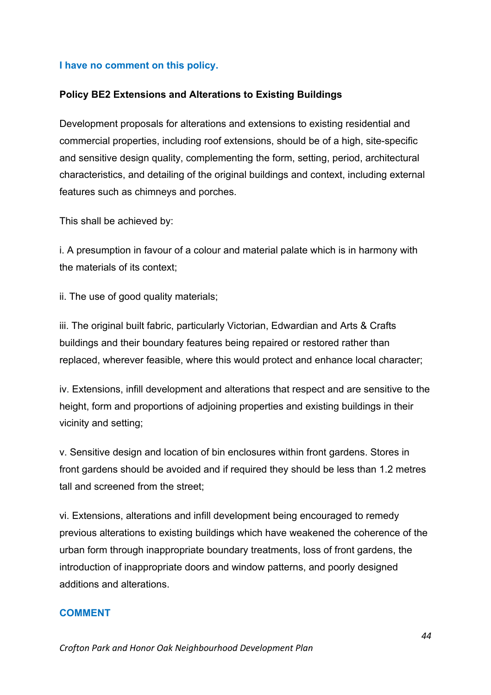#### **I have no comment on this policy.**

### **Policy BE2 Extensions and Alterations to Existing Buildings**

Development proposals for alterations and extensions to existing residential and commercial properties, including roof extensions, should be of a high, site-specific and sensitive design quality, complementing the form, setting, period, architectural characteristics, and detailing of the original buildings and context, including external features such as chimneys and porches.

This shall be achieved by:

i. A presumption in favour of a colour and material palate which is in harmony with the materials of its context;

ii. The use of good quality materials;

iii. The original built fabric, particularly Victorian, Edwardian and Arts & Crafts buildings and their boundary features being repaired or restored rather than replaced, wherever feasible, where this would protect and enhance local character;

iv. Extensions, infill development and alterations that respect and are sensitive to the height, form and proportions of adjoining properties and existing buildings in their vicinity and setting;

v. Sensitive design and location of bin enclosures within front gardens. Stores in front gardens should be avoided and if required they should be less than 1.2 metres tall and screened from the street;

vi. Extensions, alterations and infill development being encouraged to remedy previous alterations to existing buildings which have weakened the coherence of the urban form through inappropriate boundary treatments, loss of front gardens, the introduction of inappropriate doors and window patterns, and poorly designed additions and alterations.

#### **COMMENT**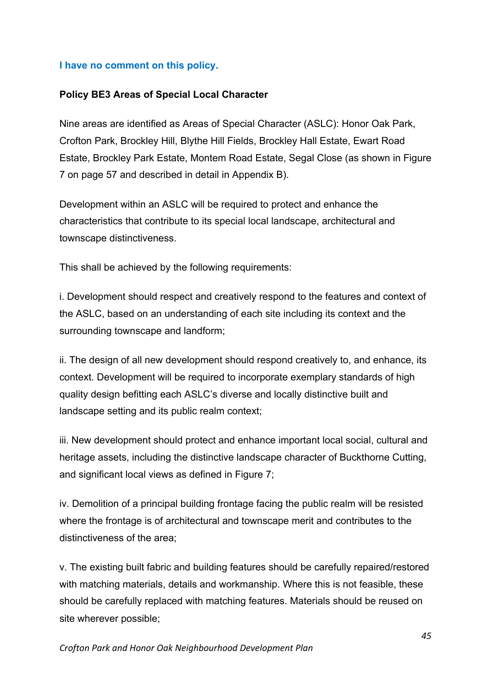### **I have no comment on this policy.**

### **Policy BE3 Areas of Special Local Character**

Nine areas are identified as Areas of Special Character (ASLC): Honor Oak Park, Crofton Park, Brockley Hill, Blythe Hill Fields, Brockley Hall Estate, Ewart Road Estate, Brockley Park Estate, Montem Road Estate, Segal Close (as shown in Figure 7 on page 57 and described in detail in Appendix B).

Development within an ASLC will be required to protect and enhance the characteristics that contribute to its special local landscape, architectural and townscape distinctiveness.

This shall be achieved by the following requirements:

i. Development should respect and creatively respond to the features and context of the ASLC, based on an understanding of each site including its context and the surrounding townscape and landform;

ii. The design of all new development should respond creatively to, and enhance, its context. Development will be required to incorporate exemplary standards of high quality design befitting each ASLC's diverse and locally distinctive built and landscape setting and its public realm context;

iii. New development should protect and enhance important local social, cultural and heritage assets, including the distinctive landscape character of Buckthorne Cutting, and significant local views as defined in Figure 7:

iv. Demolition of a principal building frontage facing the public realm will be resisted where the frontage is of architectural and townscape merit and contributes to the distinctiveness of the area;

v. The existing built fabric and building features should be carefully repaired/restored with matching materials, details and workmanship. Where this is not feasible, these should be carefully replaced with matching features. Materials should be reused on site wherever possible;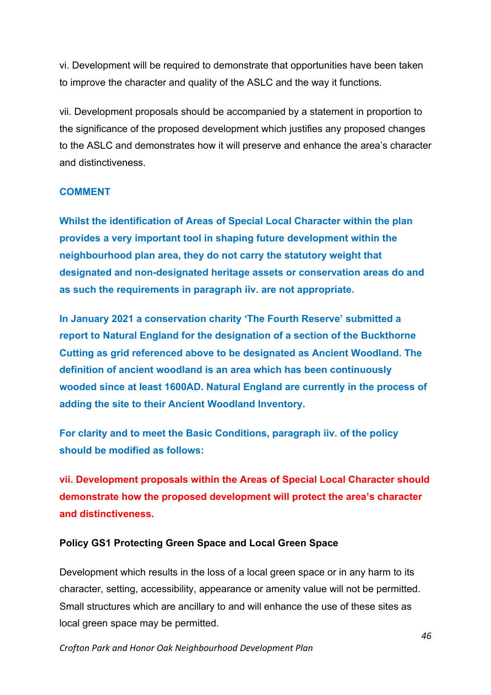vi. Development will be required to demonstrate that opportunities have been taken to improve the character and quality of the ASLC and the way it functions.

vii. Development proposals should be accompanied by a statement in proportion to the significance of the proposed development which justifies any proposed changes to the ASLC and demonstrates how it will preserve and enhance the area's character and distinctiveness.

#### **COMMENT**

**Whilst the identification of Areas of Special Local Character within the plan provides a very important tool in shaping future development within the neighbourhood plan area, they do not carry the statutory weight that designated and non-designated heritage assets or conservation areas do and as such the requirements in paragraph iiv. are not appropriate.** 

**In January 2021 a conservation charity 'The Fourth Reserve' submitted a report to Natural England for the designation of a section of the Buckthorne Cutting as grid referenced above to be designated as Ancient Woodland. The definition of ancient woodland is an area which has been continuously wooded since at least 1600AD. Natural England are currently in the process of adding the site to their Ancient Woodland Inventory.** 

**For clarity and to meet the Basic Conditions, paragraph iiv. of the policy should be modified as follows:**

**vii. Development proposals within the Areas of Special Local Character should demonstrate how the proposed development will protect the area's character and distinctiveness.**

#### **Policy GS1 Protecting Green Space and Local Green Space**

Development which results in the loss of a local green space or in any harm to its character, setting, accessibility, appearance or amenity value will not be permitted. Small structures which are ancillary to and will enhance the use of these sites as local green space may be permitted.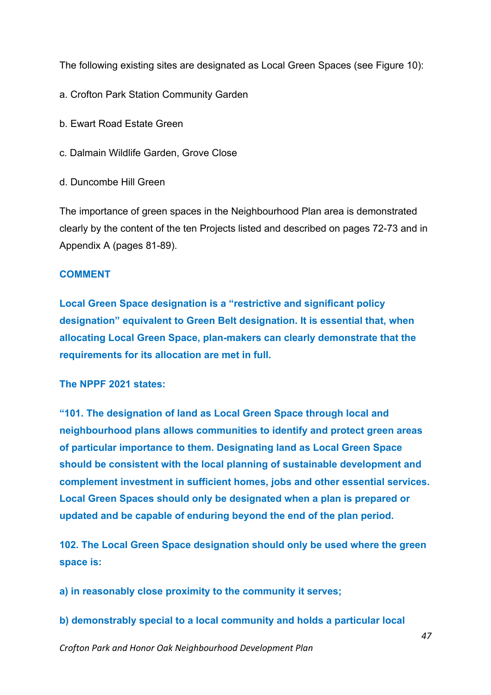The following existing sites are designated as Local Green Spaces (see Figure 10):

a. Crofton Park Station Community Garden

- b. Ewart Road Estate Green
- c. Dalmain Wildlife Garden, Grove Close
- d. Duncombe Hill Green

The importance of green spaces in the Neighbourhood Plan area is demonstrated clearly by the content of the ten Projects listed and described on pages 72-73 and in Appendix A (pages 81-89).

### **COMMENT**

**Local Green Space designation is a "restrictive and significant policy designation" equivalent to Green Belt designation. It is essential that, when allocating Local Green Space, plan-makers can clearly demonstrate that the requirements for its allocation are met in full.**

**The NPPF 2021 states:**

**"101. The designation of land as Local Green Space through local and neighbourhood plans allows communities to identify and protect green areas of particular importance to them. Designating land as Local Green Space should be consistent with the local planning of sustainable development and complement investment in sufficient homes, jobs and other essential services. Local Green Spaces should only be designated when a plan is prepared or updated and be capable of enduring beyond the end of the plan period.**

**102. The Local Green Space designation should only be used where the green space is:**

**a) in reasonably close proximity to the community it serves;**

**b) demonstrably special to a local community and holds a particular local** 

*Crofton Park and Honor Oak Neighbourhood Development Plan*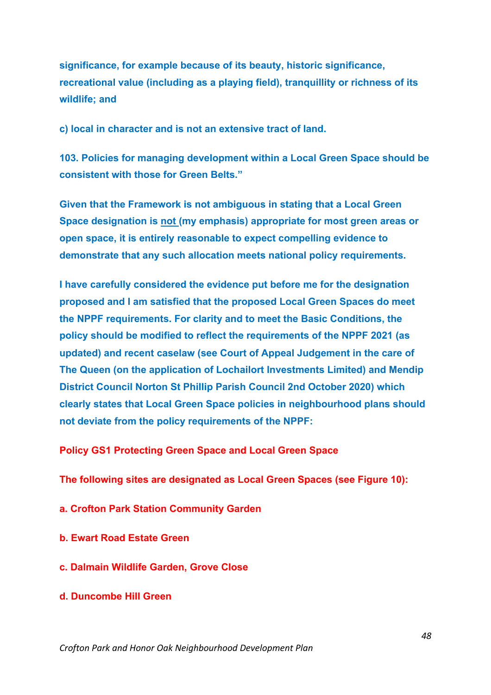**significance, for example because of its beauty, historic significance, recreational value (including as a playing field), tranquillity or richness of its wildlife; and**

**c) local in character and is not an extensive tract of land.**

**103. Policies for managing development within a Local Green Space should be consistent with those for Green Belts."**

**Given that the Framework is not ambiguous in stating that a Local Green Space designation is not (my emphasis) appropriate for most green areas or open space, it is entirely reasonable to expect compelling evidence to demonstrate that any such allocation meets national policy requirements.**

**I have carefully considered the evidence put before me for the designation proposed and I am satisfied that the proposed Local Green Spaces do meet the NPPF requirements. For clarity and to meet the Basic Conditions, the policy should be modified to reflect the requirements of the NPPF 2021 (as updated) and recent caselaw (see Court of Appeal Judgement in the care of The Queen (on the application of Lochailort Investments Limited) and Mendip District Council Norton St Phillip Parish Council 2nd October 2020) which clearly states that Local Green Space policies in neighbourhood plans should not deviate from the policy requirements of the NPPF:**

**Policy GS1 Protecting Green Space and Local Green Space**

**The following sites are designated as Local Green Spaces (see Figure 10):**

- **a. Crofton Park Station Community Garden**
- **b. Ewart Road Estate Green**
- **c. Dalmain Wildlife Garden, Grove Close**
- **d. Duncombe Hill Green**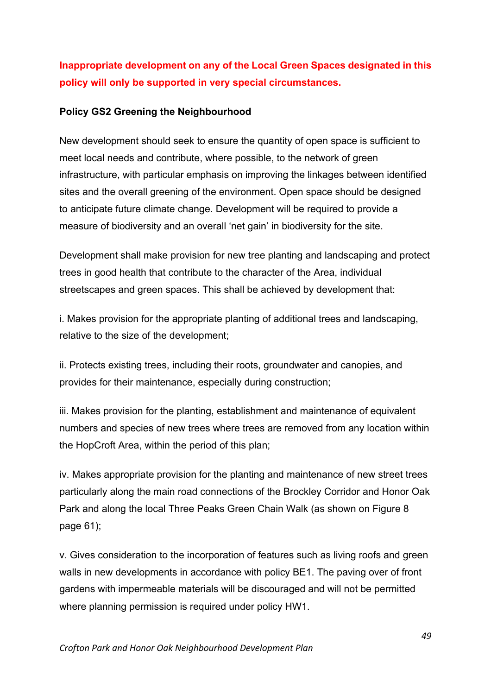# **Inappropriate development on any of the Local Green Spaces designated in this policy will only be supported in very special circumstances.**

## **Policy GS2 Greening the Neighbourhood**

New development should seek to ensure the quantity of open space is sufficient to meet local needs and contribute, where possible, to the network of green infrastructure, with particular emphasis on improving the linkages between identified sites and the overall greening of the environment. Open space should be designed to anticipate future climate change. Development will be required to provide a measure of biodiversity and an overall 'net gain' in biodiversity for the site.

Development shall make provision for new tree planting and landscaping and protect trees in good health that contribute to the character of the Area, individual streetscapes and green spaces. This shall be achieved by development that:

i. Makes provision for the appropriate planting of additional trees and landscaping, relative to the size of the development;

ii. Protects existing trees, including their roots, groundwater and canopies, and provides for their maintenance, especially during construction;

iii. Makes provision for the planting, establishment and maintenance of equivalent numbers and species of new trees where trees are removed from any location within the HopCroft Area, within the period of this plan;

iv. Makes appropriate provision for the planting and maintenance of new street trees particularly along the main road connections of the Brockley Corridor and Honor Oak Park and along the local Three Peaks Green Chain Walk (as shown on Figure 8 page 61);

v. Gives consideration to the incorporation of features such as living roofs and green walls in new developments in accordance with policy BE1. The paving over of front gardens with impermeable materials will be discouraged and will not be permitted where planning permission is required under policy HW1.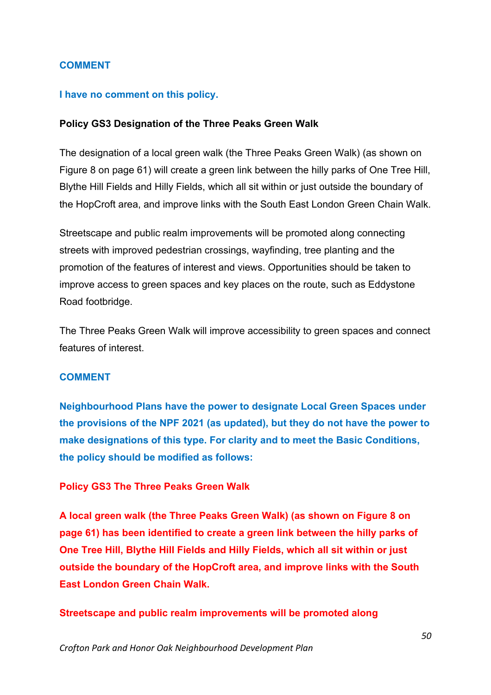#### **COMMENT**

#### **I have no comment on this policy.**

#### **Policy GS3 Designation of the Three Peaks Green Walk**

The designation of a local green walk (the Three Peaks Green Walk) (as shown on Figure 8 on page 61) will create a green link between the hilly parks of One Tree Hill, Blythe Hill Fields and Hilly Fields, which all sit within or just outside the boundary of the HopCroft area, and improve links with the South East London Green Chain Walk.

Streetscape and public realm improvements will be promoted along connecting streets with improved pedestrian crossings, wayfinding, tree planting and the promotion of the features of interest and views. Opportunities should be taken to improve access to green spaces and key places on the route, such as Eddystone Road footbridge.

The Three Peaks Green Walk will improve accessibility to green spaces and connect features of interest.

#### **COMMENT**

**Neighbourhood Plans have the power to designate Local Green Spaces under the provisions of the NPF 2021 (as updated), but they do not have the power to make designations of this type. For clarity and to meet the Basic Conditions, the policy should be modified as follows:** 

#### **Policy GS3 The Three Peaks Green Walk**

**A local green walk (the Three Peaks Green Walk) (as shown on Figure 8 on page 61) has been identified to create a green link between the hilly parks of One Tree Hill, Blythe Hill Fields and Hilly Fields, which all sit within or just outside the boundary of the HopCroft area, and improve links with the South East London Green Chain Walk.**

**Streetscape and public realm improvements will be promoted along**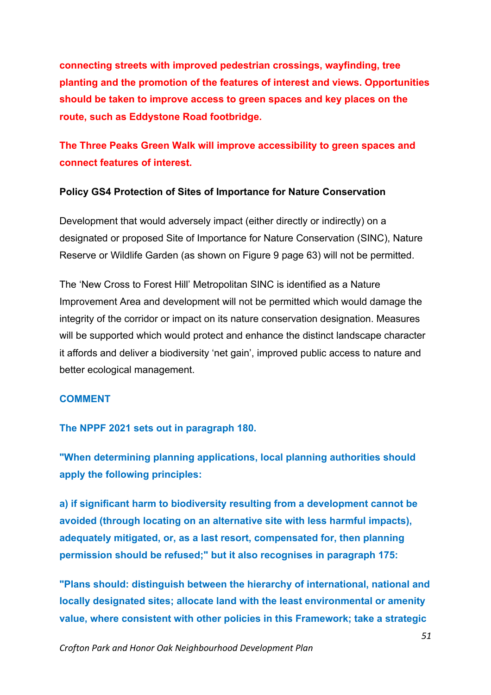**connecting streets with improved pedestrian crossings, wayfinding, tree planting and the promotion of the features of interest and views. Opportunities should be taken to improve access to green spaces and key places on the route, such as Eddystone Road footbridge.**

**The Three Peaks Green Walk will improve accessibility to green spaces and connect features of interest.**

#### **Policy GS4 Protection of Sites of Importance for Nature Conservation**

Development that would adversely impact (either directly or indirectly) on a designated or proposed Site of Importance for Nature Conservation (SINC), Nature Reserve or Wildlife Garden (as shown on Figure 9 page 63) will not be permitted.

The 'New Cross to Forest Hill' Metropolitan SINC is identified as a Nature Improvement Area and development will not be permitted which would damage the integrity of the corridor or impact on its nature conservation designation. Measures will be supported which would protect and enhance the distinct landscape character it affords and deliver a biodiversity 'net gain', improved public access to nature and better ecological management.

#### **COMMENT**

#### **The NPPF 2021 sets out in paragraph 180.**

**"When determining planning applications, local planning authorities should apply the following principles:**

**a) if significant harm to biodiversity resulting from a development cannot be avoided (through locating on an alternative site with less harmful impacts), adequately mitigated, or, as a last resort, compensated for, then planning permission should be refused;" but it also recognises in paragraph 175:**

**"Plans should: distinguish between the hierarchy of international, national and locally designated sites; allocate land with the least environmental or amenity value, where consistent with other policies in this Framework; take a strategic**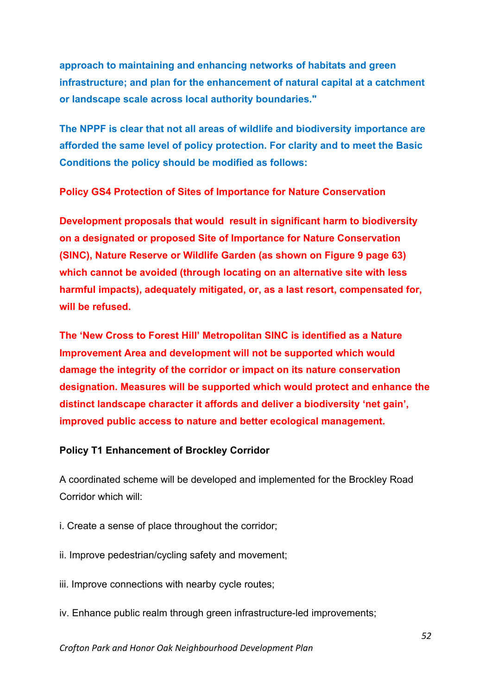**approach to maintaining and enhancing networks of habitats and green infrastructure; and plan for the enhancement of natural capital at a catchment or landscape scale across local authority boundaries."**

**The NPPF is clear that not all areas of wildlife and biodiversity importance are afforded the same level of policy protection. For clarity and to meet the Basic Conditions the policy should be modified as follows:**

**Policy GS4 Protection of Sites of Importance for Nature Conservation**

**Development proposals that would result in significant harm to biodiversity on a designated or proposed Site of Importance for Nature Conservation (SINC), Nature Reserve or Wildlife Garden (as shown on Figure 9 page 63) which cannot be avoided (through locating on an alternative site with less harmful impacts), adequately mitigated, or, as a last resort, compensated for, will be refused.**

**The 'New Cross to Forest Hill' Metropolitan SINC is identified as a Nature Improvement Area and development will not be supported which would damage the integrity of the corridor or impact on its nature conservation designation. Measures will be supported which would protect and enhance the distinct landscape character it affords and deliver a biodiversity 'net gain', improved public access to nature and better ecological management.**

#### **Policy T1 Enhancement of Brockley Corridor**

A coordinated scheme will be developed and implemented for the Brockley Road Corridor which will:

- i. Create a sense of place throughout the corridor;
- ii. Improve pedestrian/cycling safety and movement;
- iii. Improve connections with nearby cycle routes;
- iv. Enhance public realm through green infrastructure-led improvements;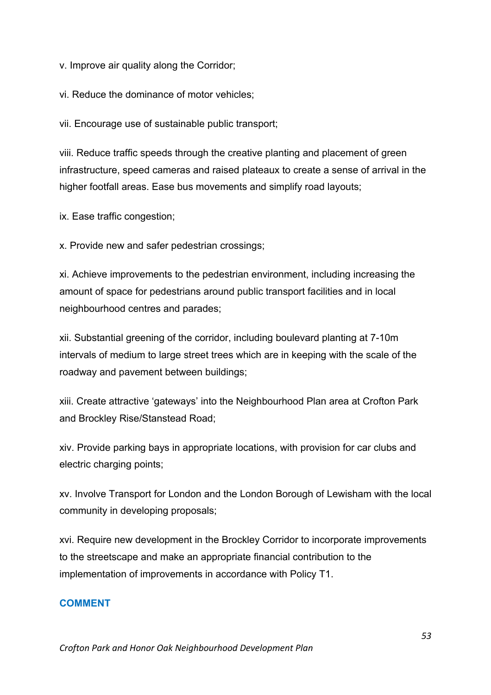v. Improve air quality along the Corridor;

vi. Reduce the dominance of motor vehicles;

vii. Encourage use of sustainable public transport;

viii. Reduce traffic speeds through the creative planting and placement of green infrastructure, speed cameras and raised plateaux to create a sense of arrival in the higher footfall areas. Ease bus movements and simplify road layouts;

ix. Ease traffic congestion;

x. Provide new and safer pedestrian crossings;

xi. Achieve improvements to the pedestrian environment, including increasing the amount of space for pedestrians around public transport facilities and in local neighbourhood centres and parades;

xii. Substantial greening of the corridor, including boulevard planting at 7-10m intervals of medium to large street trees which are in keeping with the scale of the roadway and pavement between buildings;

xiii. Create attractive 'gateways' into the Neighbourhood Plan area at Crofton Park and Brockley Rise/Stanstead Road;

xiv. Provide parking bays in appropriate locations, with provision for car clubs and electric charging points;

xv. Involve Transport for London and the London Borough of Lewisham with the local community in developing proposals;

xvi. Require new development in the Brockley Corridor to incorporate improvements to the streetscape and make an appropriate financial contribution to the implementation of improvements in accordance with Policy T1.

#### **COMMENT**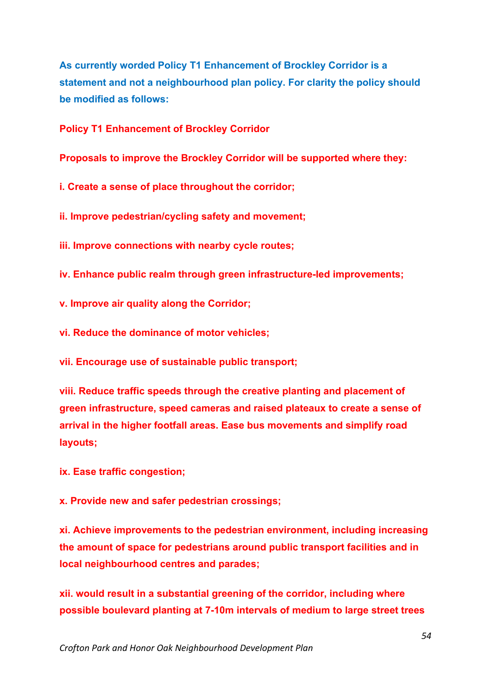**As currently worded Policy T1 Enhancement of Brockley Corridor is a statement and not a neighbourhood plan policy. For clarity the policy should be modified as follows:**

**Policy T1 Enhancement of Brockley Corridor**

**Proposals to improve the Brockley Corridor will be supported where they:**

**i. Create a sense of place throughout the corridor;**

**ii. Improve pedestrian/cycling safety and movement;**

**iii. Improve connections with nearby cycle routes;**

**iv. Enhance public realm through green infrastructure-led improvements;**

**v. Improve air quality along the Corridor;**

**vi. Reduce the dominance of motor vehicles;**

**vii. Encourage use of sustainable public transport;**

**viii. Reduce traffic speeds through the creative planting and placement of green infrastructure, speed cameras and raised plateaux to create a sense of arrival in the higher footfall areas. Ease bus movements and simplify road layouts;**

**ix. Ease traffic congestion;**

**x. Provide new and safer pedestrian crossings;**

**xi. Achieve improvements to the pedestrian environment, including increasing the amount of space for pedestrians around public transport facilities and in local neighbourhood centres and parades;**

**xii. would result in a substantial greening of the corridor, including where possible boulevard planting at 7-10m intervals of medium to large street trees**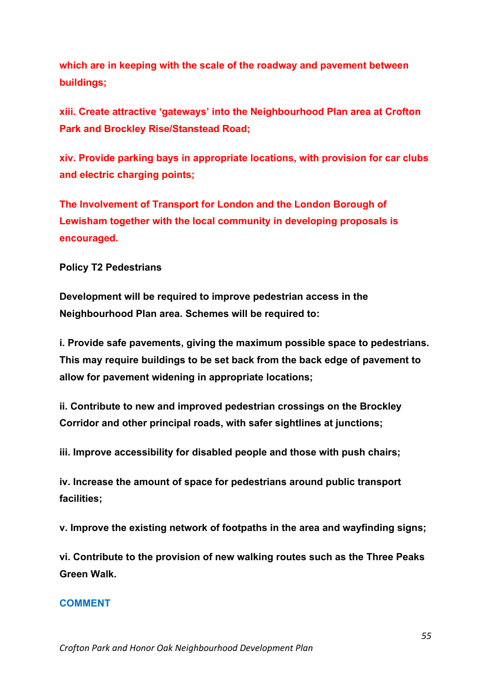**which are in keeping with the scale of the roadway and pavement between buildings;**

**xiii. Create attractive 'gateways' into the Neighbourhood Plan area at Crofton Park and Brockley Rise/Stanstead Road;**

**xiv. Provide parking bays in appropriate locations, with provision for car clubs and electric charging points;**

**The Involvement of Transport for London and the London Borough of Lewisham together with the local community in developing proposals is encouraged.**

**Policy T2 Pedestrians**

**Development will be required to improve pedestrian access in the Neighbourhood Plan area. Schemes will be required to:**

**i. Provide safe pavements, giving the maximum possible space to pedestrians. This may require buildings to be set back from the back edge of pavement to allow for pavement widening in appropriate locations;**

**ii. Contribute to new and improved pedestrian crossings on the Brockley Corridor and other principal roads, with safer sightlines at junctions;**

**iii. Improve accessibility for disabled people and those with push chairs;**

**iv. Increase the amount of space for pedestrians around public transport facilities;**

**v. Improve the existing network of footpaths in the area and wayfinding signs;**

**vi. Contribute to the provision of new walking routes such as the Three Peaks Green Walk.**

#### **COMMENT**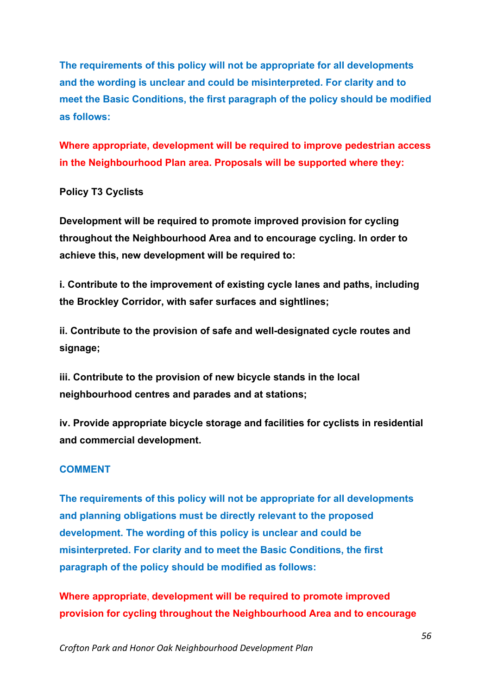**The requirements of this policy will not be appropriate for all developments and the wording is unclear and could be misinterpreted. For clarity and to meet the Basic Conditions, the first paragraph of the policy should be modified as follows:**

**Where appropriate, development will be required to improve pedestrian access in the Neighbourhood Plan area. Proposals will be supported where they:**

#### **Policy T3 Cyclists**

**Development will be required to promote improved provision for cycling throughout the Neighbourhood Area and to encourage cycling. In order to achieve this, new development will be required to:**

**i. Contribute to the improvement of existing cycle lanes and paths, including the Brockley Corridor, with safer surfaces and sightlines;**

**ii. Contribute to the provision of safe and well-designated cycle routes and signage;**

**iii. Contribute to the provision of new bicycle stands in the local neighbourhood centres and parades and at stations;**

**iv. Provide appropriate bicycle storage and facilities for cyclists in residential and commercial development.**

#### **COMMENT**

**The requirements of this policy will not be appropriate for all developments and planning obligations must be directly relevant to the proposed development. The wording of this policy is unclear and could be misinterpreted. For clarity and to meet the Basic Conditions, the first paragraph of the policy should be modified as follows:**

**Where appropriate**, **development will be required to promote improved provision for cycling throughout the Neighbourhood Area and to encourage**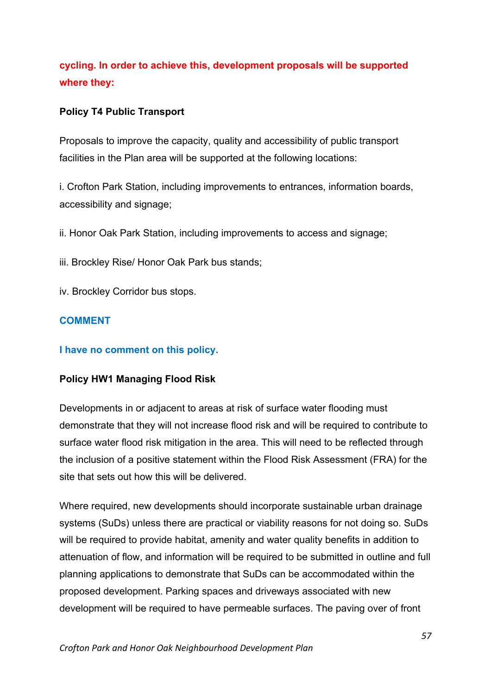# **cycling. In order to achieve this, development proposals will be supported where they:**

## **Policy T4 Public Transport**

Proposals to improve the capacity, quality and accessibility of public transport facilities in the Plan area will be supported at the following locations:

i. Crofton Park Station, including improvements to entrances, information boards, accessibility and signage;

ii. Honor Oak Park Station, including improvements to access and signage;

iii. Brockley Rise/ Honor Oak Park bus stands;

iv. Brockley Corridor bus stops.

## **COMMENT**

## **I have no comment on this policy.**

## **Policy HW1 Managing Flood Risk**

Developments in or adjacent to areas at risk of surface water flooding must demonstrate that they will not increase flood risk and will be required to contribute to surface water flood risk mitigation in the area. This will need to be reflected through the inclusion of a positive statement within the Flood Risk Assessment (FRA) for the site that sets out how this will be delivered.

Where required, new developments should incorporate sustainable urban drainage systems (SuDs) unless there are practical or viability reasons for not doing so. SuDs will be required to provide habitat, amenity and water quality benefits in addition to attenuation of flow, and information will be required to be submitted in outline and full planning applications to demonstrate that SuDs can be accommodated within the proposed development. Parking spaces and driveways associated with new development will be required to have permeable surfaces. The paving over of front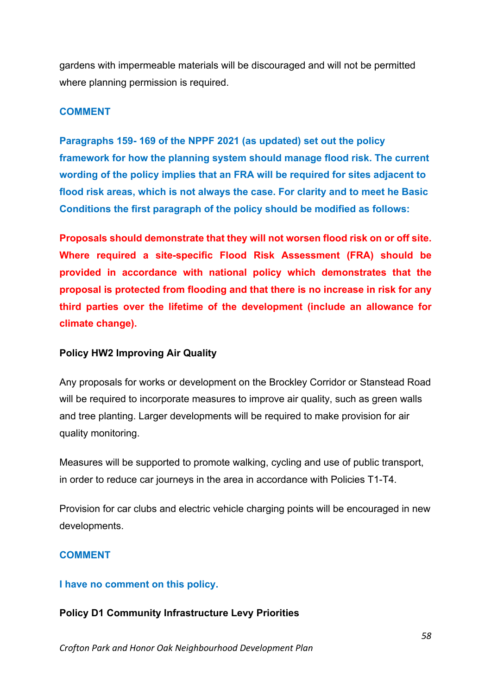gardens with impermeable materials will be discouraged and will not be permitted where planning permission is required.

#### **COMMENT**

**Paragraphs 159- 169 of the NPPF 2021 (as updated) set out the policy framework for how the planning system should manage flood risk. The current wording of the policy implies that an FRA will be required for sites adjacent to flood risk areas, which is not always the case. For clarity and to meet he Basic Conditions the first paragraph of the policy should be modified as follows:**

**Proposals should demonstrate that they will not worsen flood risk on or off site. Where required a site-specific Flood Risk Assessment (FRA) should be provided in accordance with national policy which demonstrates that the proposal is protected from flooding and that there is no increase in risk for any third parties over the lifetime of the development (include an allowance for climate change).** 

#### **Policy HW2 Improving Air Quality**

Any proposals for works or development on the Brockley Corridor or Stanstead Road will be required to incorporate measures to improve air quality, such as green walls and tree planting. Larger developments will be required to make provision for air quality monitoring.

Measures will be supported to promote walking, cycling and use of public transport, in order to reduce car journeys in the area in accordance with Policies T1-T4.

Provision for car clubs and electric vehicle charging points will be encouraged in new developments.

#### **COMMENT**

#### **I have no comment on this policy.**

#### **Policy D1 Community Infrastructure Levy Priorities**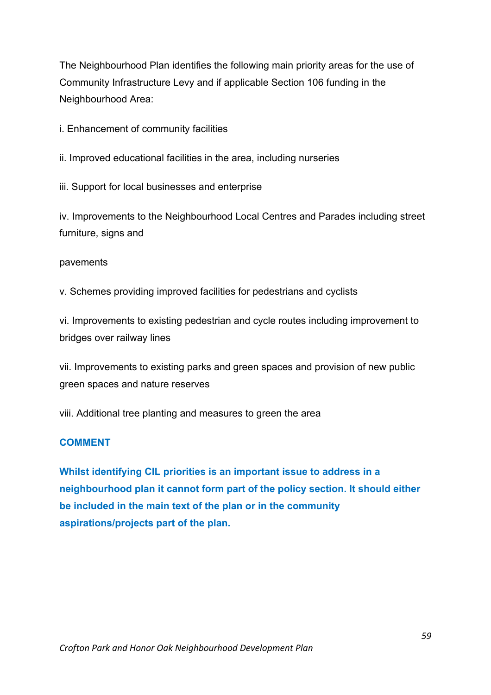The Neighbourhood Plan identifies the following main priority areas for the use of Community Infrastructure Levy and if applicable Section 106 funding in the Neighbourhood Area:

i. Enhancement of community facilities

ii. Improved educational facilities in the area, including nurseries

iii. Support for local businesses and enterprise

iv. Improvements to the Neighbourhood Local Centres and Parades including street furniture, signs and

pavements

v. Schemes providing improved facilities for pedestrians and cyclists

vi. Improvements to existing pedestrian and cycle routes including improvement to bridges over railway lines

vii. Improvements to existing parks and green spaces and provision of new public green spaces and nature reserves

viii. Additional tree planting and measures to green the area

#### **COMMENT**

**Whilst identifying CIL priorities is an important issue to address in a neighbourhood plan it cannot form part of the policy section. It should either be included in the main text of the plan or in the community aspirations/projects part of the plan.**